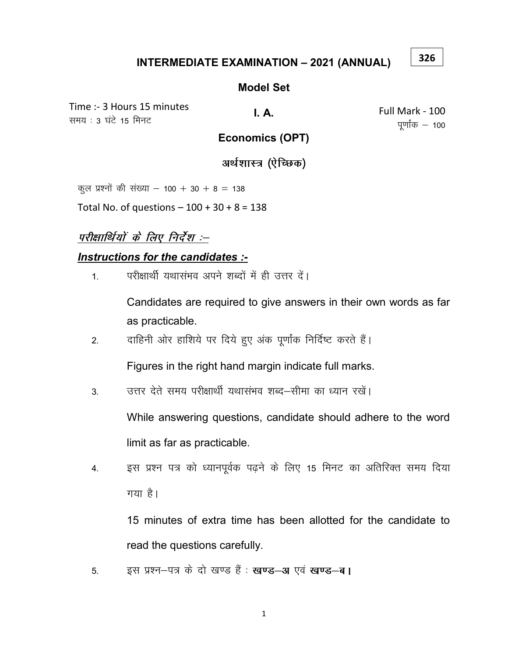#### **INTERMEDIATE EXAMINATION - 2021 (ANNUAL)**

#### **Model Set**

Time :- 3 Hours 15 minutes समय: 3 घंटे 15 मिनट

I. A.

Full Mark - 100 पूर्णांक  $-$  100

326

## **Economics (OPT)**

अर्थशास्त्र (ऐच्छिक)

कुल प्रश्नों की संख्या – 100 + 30 + 8 = 138

Total No. of questions  $-100 + 30 + 8 = 138$ 

# परीक्षार्थियों के लिए निर्देश :--

#### Instructions for the candidates :-

परीक्षार्थी यथासंभव अपने शब्दों में ही उत्तर दें।  $\mathbf{1}$ 

> Candidates are required to give answers in their own words as far as practicable.

दाहिनी ओर हाशिये पर दिये हुए अंक पूर्णांक निर्दिष्ट करते हैं।  $2.$ 

Figures in the right hand margin indicate full marks.

उत्तर देते समय परीक्षार्थी यथासंभव शब्द–सीमा का ध्यान रखें। 3.

> While answering questions, candidate should adhere to the word limit as far as practicable.

इस प्रश्न पत्र को ध्यानपूर्वक पढ़ने के लिए 15 मिनट का अतिरिक्त समय दिया 4. गया है।

15 minutes of extra time has been allotted for the candidate to read the questions carefully.

इस प्रश्न-पत्र के दो खण्ड हैं : खण्ड-अ एवं खण्ड-ब। 5.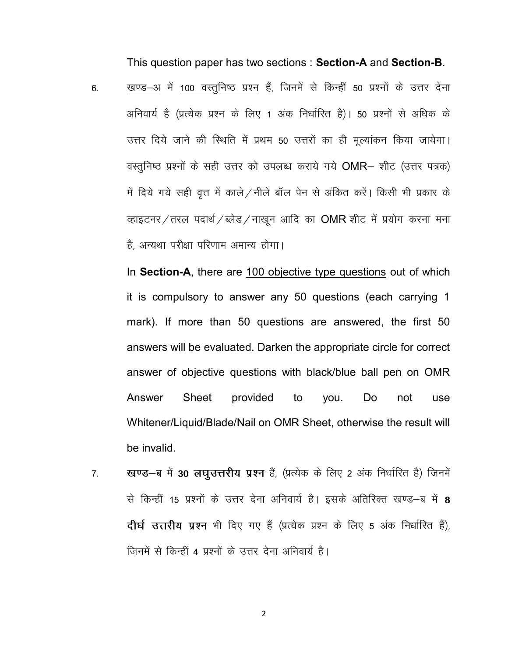This question paper has two sections : Section-A and Section-B.

6. खण्ड–अ में 100 वस्तुनिष्ठ प्रश्न हैं, जिनमें से किन्हीं 50 प्रश्नों के उत्तर देना अनिवार्य है (प्रत्येक प्रश्न के लिए 1 अंक निर्धारित है)। 50 प्रश्नों से अधिक के उत्तर दिये जाने की स्थिति में प्रथम 50 उत्तरों का ही मूल्यांकन किया जायेगा। वस्तुनिष्ठ प्रश्नों के सही उत्तर को उपलब्ध कराये गये OMR- शीट (उत्तर पत्रक) में दिये गये सही वृत्त में काले / नीले बॉल पेन से अंकित करें। किसी भी प्रकार के व्हाइटनर / तरल पदार्थ / ब्लेड / नाखन आदि का OMR शीट में प्रयोग करना मना है, अन्यथा परीक्षा परिणाम अमान्य होगा।

In Section-A, there are 100 objective type questions out of which it is compulsory to answer any 50 questions (each carrying 1 mark). If more than 50 questions are answered, the first 50 answers will be evaluated. Darken the appropriate circle for correct answer of objective questions with black/blue ball pen on OMR Answer Sheet provided to you. Do not use Whitener/Liquid/Blade/Nail on OMR Sheet, otherwise the result will be invalid.

7. स्वण्ड-ब में 30 लघुउत्तरीय प्रश्न हैं, (प्रत्येक के लिए 2 अंक निर्धारित है) जिनमें से किन्हीं 15 प्रश्नों के उत्तर देना अनिवार्य है। इसके अतिरिक्त खण्ड–ब में 8 दीर्घ उत्तरीय प्रश्न भी दिए गए हैं (प्रत्येक प्रश्न के लिए 5 अंक निर्धारित हैं), जिनमें से किन्हीं 4 प्रश्नों के उत्तर देना अनिवार्य है।

2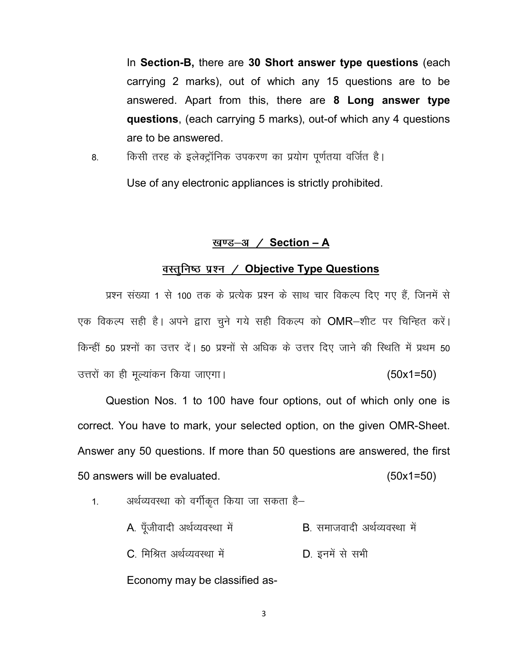In Section-B, there are 30 Short answer type questions (each carrying 2 marks), out of which any 15 questions are to be answered. Apart from this, there are 8 Long answer type questions, (each carrying 5 marks), out-of which any 4 questions are to be answered.

8. विश्मी तरह के इलेक्ट्रॉनिक उपकरण का प्रयोग पूर्णतया वर्जित है।

Use of any electronic appliances is strictly prohibited.

### खण्ड-अ  $/$  Section - A

### वस्तुनिष्ठ प्रश्न / Objective Type Questions

प्रश्न संख्या 1 से 100 तक के प्रत्येक प्रश्न के साथ चार विकल्प दिए गए हैं, जिनमें से एक विकल्प सही है। अपने द्वारा चुने गये सही विकल्प को OMR-शीट पर चिन्हित करें। किन्हीं 50 प्रश्नों का उत्तर दें। 50 प्रश्नों से अधिक के उत्तर दिए जाने की स्थिति में प्रथम 50 उत्तरों का ही मूल्यांकन किया जाएगा।  $(50x1=50)$ 

Question Nos. 1 to 100 have four options, out of which only one is correct. You have to mark, your selected option, on the given OMR-Sheet. Answer any 50 questions. If more than 50 questions are answered, the first 50 answers will be evaluated. (50x1=50)

1. अर्थव्यवस्था को वर्गीकृत किया जा सकता है–

| A. पूँजीवादी अर्थव्यवस्था में | B. समाजवादी अर्थव्यवस्था में |
|-------------------------------|------------------------------|
| C. मिश्रित अर्थव्यवस्था में   | D. इनमें से सभी              |
| Economy may be classified as- |                              |

3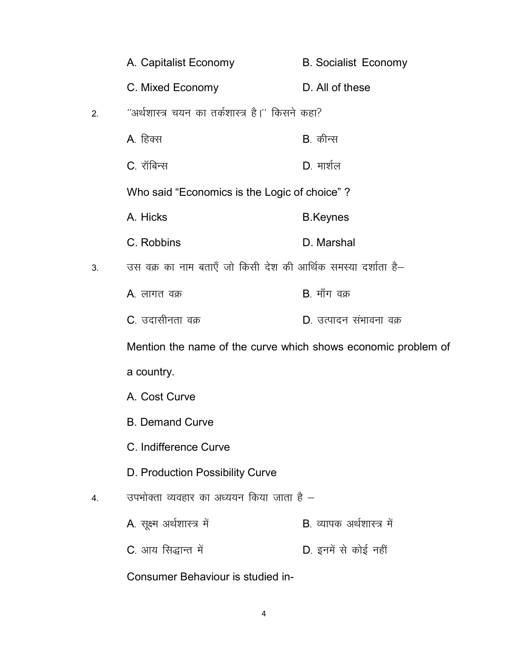|    | A. Capitalist Economy                                         | <b>B.</b> Socialist Economy |
|----|---------------------------------------------------------------|-----------------------------|
|    | C. Mixed Economy                                              | D. All of these             |
| 2. | ''अर्थशास्त्र चयन का तर्कशास्त्र है।'' किसने कहा?             |                             |
|    | A. हिक्स                                                      | <b>B</b> . कीन्स            |
|    | C. रॉबिन्स                                                    | $D.$ मार्शल                 |
|    | Who said "Economics is the Logic of choice"?                  |                             |
|    | A. Hicks                                                      | <b>B.Keynes</b>             |
|    | C. Robbins                                                    | D. Marshal                  |
| 3. | उस वक्र का नाम बताएँ जो किसी देश की आर्थिक समस्या दर्शाता है– |                             |
|    | A. लागत वक्र                                                  | <b>B</b> . माँग वक्र        |
|    | C. उदासीनता वक्र                                              | D. उत्पादन संभावना वक्र     |
|    | Mention the name of the curve which shows economic problem of |                             |
|    | a country.                                                    |                             |
|    | A. Cost Curve                                                 |                             |
|    | <b>B. Demand Curve</b>                                        |                             |
|    | C. Indifference Curve                                         |                             |
|    | D. Production Possibility Curve                               |                             |
| 4. | उपभोक्ता व्यवहार का अध्ययन किया जाता है –                     |                             |
|    | A. सूक्ष्म अर्थशास्त्र में                                    | B. व्यापक अर्थशास्त्र में   |
|    | C. आय सिद्धान्त में                                           | D. इनमें से कोई नहीं        |
|    | Consumer Behaviour is studied in-                             |                             |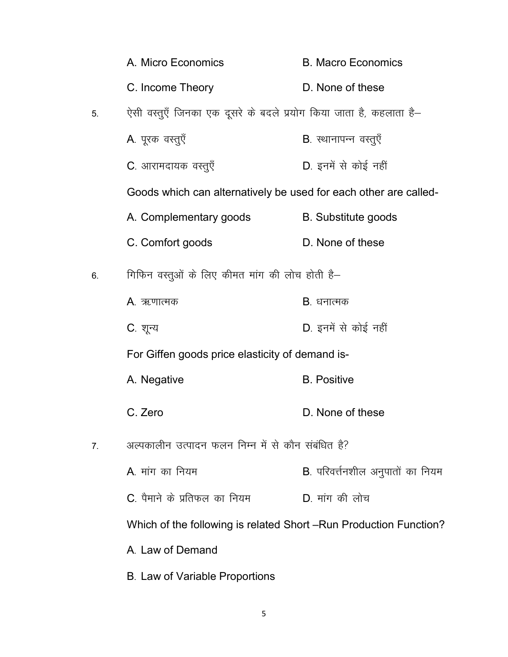|    | A. Micro Economics                                                 | <b>B. Macro Economics</b>         |
|----|--------------------------------------------------------------------|-----------------------------------|
|    | C. Income Theory                                                   | D. None of these                  |
| 5. | ऐसी वस्तुएँ जिनका एक दूसरे के बदले प्रयोग किया जाता है, कहलाता है– |                                   |
|    | A. पूरक वस्तुएँ                                                    | <b>B</b> . स्थानापन्न वस्तुएँ     |
|    | C. आरामदायक वस्तुएँ                                                | D. इनमें से कोई नहीं              |
|    | Goods which can alternatively be used for each other are called-   |                                   |
|    | A. Complementary goods                                             | <b>B.</b> Substitute goods        |
|    | C. Comfort goods                                                   | D. None of these                  |
| 6. | गिफिन वस्तुओं के लिए कीमत मांग की लोच होती है–                     |                                   |
|    | A. ऋणात्मक                                                         | <b>B</b> . धनात्मक                |
|    | C. शून्य                                                           | D. इनमें से कोई नहीं              |
|    | For Giffen goods price elasticity of demand is-                    |                                   |
|    | A. Negative                                                        | <b>B.</b> Positive                |
|    | C. Zero                                                            | D. None of these                  |
| 7. | अल्पकालीन उत्पादन फलन निम्न में से कौन संबंधित है?                 |                                   |
|    | A मांग का नियम                                                     | B. परिवर्त्तनशील अनुपातों का नियम |
|    | $C$ पैमाने के प्रतिफल का नियम                                      | D. मांग की लोच                    |
|    | Which of the following is related Short - Run Production Function? |                                   |
|    | A. Law of Demand                                                   |                                   |
|    | B. Law of Variable Proportions                                     |                                   |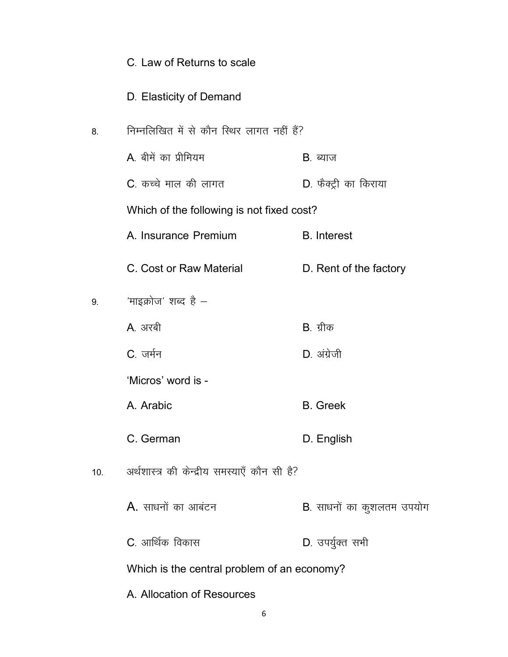|     | C. Law of Returns to scale                   |                           |
|-----|----------------------------------------------|---------------------------|
|     | D. Elasticity of Demand                      |                           |
| 8.  | निम्नलिखित में से कौन स्थिर लागत नहीं हैं?   |                           |
|     | A बीमें का प्रीमियम                          | B. ब्याज                  |
|     | C. कच्चे माल की लागत                         | D. फैक्ट्री का किराया     |
|     | Which of the following is not fixed cost?    |                           |
|     | A. Insurance Premium                         | <b>B.</b> Interest        |
|     | C. Cost or Raw Material                      | D. Rent of the factory    |
| 9.  | 'माइक्रोज' शब्द है –                         |                           |
|     | A अरबी                                       | B. ग्रीक                  |
|     | C. जर्मन                                     | D. अंग्रेजी               |
|     | 'Micros' word is -                           |                           |
|     | A. Arabic                                    | <b>B.</b> Greek           |
|     | C. German                                    | D. English                |
| 10. | अर्थशास्त्र की केन्द्रीय समस्याएँ कौन सी है? |                           |
|     | <b>A.</b> साधनों का आबंटन                    | B. साधनों का कुशलतम उपयोग |
|     | C. आर्थिक विकास                              | D. उपर्युक्त सभी          |
|     | Which is the central problem of an economy?  |                           |
|     |                                              |                           |

A. Allocation of Resources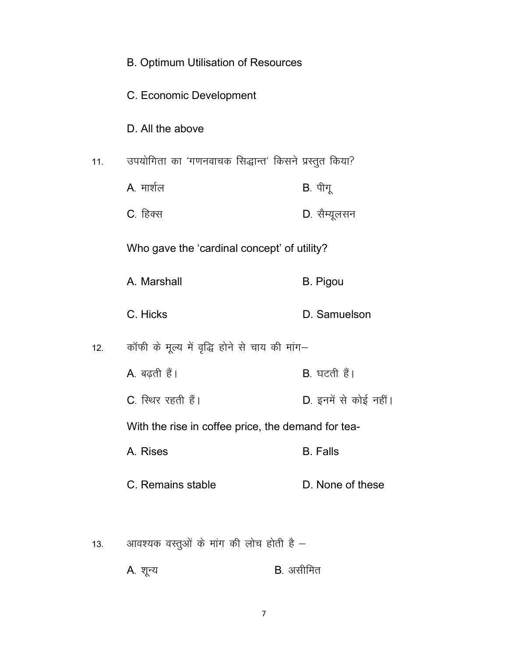|     | <b>B. Optimum Utilisation of Resources</b>           |                       |
|-----|------------------------------------------------------|-----------------------|
|     | C. Economic Development                              |                       |
|     | D. All the above                                     |                       |
| 11. | उपयोगिता का 'गणनवाचक सिद्धान्त' किसने प्रस्तुत किया? |                       |
|     | A. मार्शल                                            | B. पीगू               |
|     | C. हिक्स                                             | D. सैम्यूलसन          |
|     | Who gave the 'cardinal concept' of utility?          |                       |
|     | A. Marshall                                          | <b>B.</b> Pigou       |
|     | C. Hicks                                             | D. Samuelson          |
| 12. | कॉफी के मूल्य में वृद्धि होने से चाय की मांग–        |                       |
|     | A. बढ़ती हैं।                                        | B. घटती हैं।          |
|     | C. स्थिर रहती हैं।                                   | D. इनमें से कोई नहीं। |
|     | With the rise in coffee price, the demand for tea-   |                       |
|     | A. Rises                                             | <b>B.</b> Falls       |
|     | C. Remains stable                                    | D. None of these      |
|     | आवश्यक वस्तुओं के मांग की लोच होती है –              |                       |
| 13. |                                                      |                       |
|     | A. शून्य                                             | B. असीमित             |

 $\overline{7}$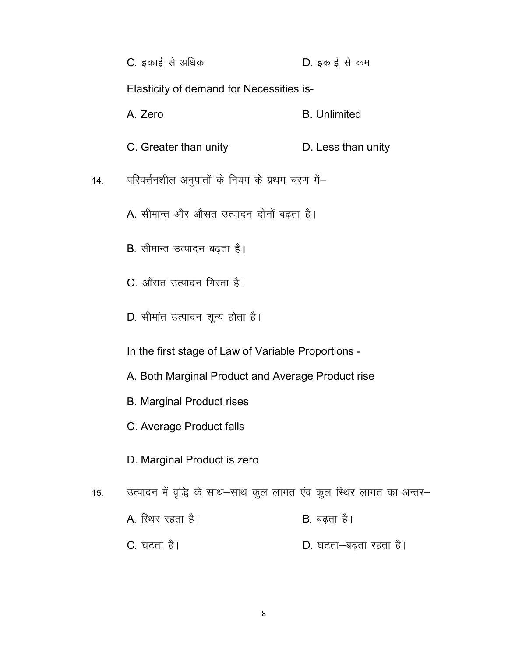|     | C. इकाई से अधिक                                                     | D. इकाई से कम          |
|-----|---------------------------------------------------------------------|------------------------|
|     | <b>Elasticity of demand for Necessities is-</b>                     |                        |
|     | A. Zero                                                             | <b>B.</b> Unlimited    |
|     | C. Greater than unity                                               | D. Less than unity     |
| 14. | परिवर्त्तनशील अनुपातों के नियम के प्रथम चरण में–                    |                        |
|     | A. सीमान्त और औसत उत्पादन दोनों बढ़ता है।                           |                        |
|     | B. सीमान्त उत्पादन बढ़ता है।                                        |                        |
|     | C. औसत उत्पादन गिरता है।                                            |                        |
|     | D. सीमांत उत्पादन शून्य होता है।                                    |                        |
|     | In the first stage of Law of Variable Proportions -                 |                        |
|     | A. Both Marginal Product and Average Product rise                   |                        |
|     | <b>B. Marginal Product rises</b>                                    |                        |
|     | C. Average Product falls                                            |                        |
|     | D. Marginal Product is zero                                         |                        |
| 15. | उत्पादन में वृद्धि के साथ-साथ कुल लागत एंव कुल स्थिर लागत का अन्तर- |                        |
|     | A. स्थिर रहता है।                                                   | B. बढ़ता है।           |
|     | <b>C</b> . घटता है।                                                 | D. घटता-बढ़ता रहता है। |

 $\bf 8$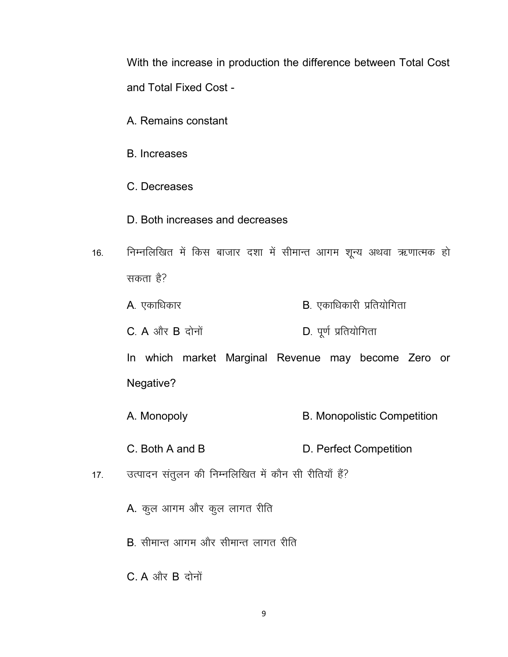With the increase in production the difference between Total Cost and Total Fixed Cost -

- A. Remains constant
- B. Increases
- C. Decreases
- D. Both increases and decreases
- 16. निम्नलिखित में किस बाजार दशा में सीमान्त आगम शून्य अथवा ऋणात्मक हो सकता है?
	- $A$ . एकाधिकार  $B$ . एकाधिकारी प्रतियोगिता
	- $C. A$  और  $B$  दोनों  $D. \Psi$ र्ण प्रतियोगिता

In which market Marginal Revenue may become Zero or Negative?

- A. Monopoly B. Monopolistic Competition
- C. Both A and B D. Perfect Competition
- 17. जत्पादन संतुलन की निम्नलिखित में कौन सी रीतियाँ हैं?
	- A. कुल आगम और कुल लागत रीति
	- $B$ , सीमान्त आगम और सीमान्त लागत रीति
	- $C$ . A और  $B$  दोनों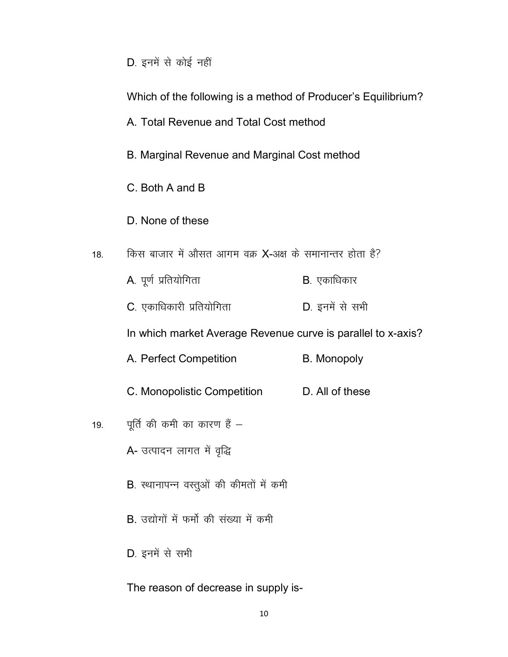| D. इनमें से कोई नहीं |  |  |
|----------------------|--|--|
|----------------------|--|--|

|     | Which of the following is a method of Producer's Equilibrium?<br>A. Total Revenue and Total Cost method |                    |
|-----|---------------------------------------------------------------------------------------------------------|--------------------|
|     | B. Marginal Revenue and Marginal Cost method                                                            |                    |
|     | C. Both A and B                                                                                         |                    |
|     | D. None of these                                                                                        |                    |
| 18. | किस बाजार में औसत आगम वक्र X-अक्ष के समानान्तर होता है?                                                 |                    |
|     | A. पूर्ण प्रतियोगिता                                                                                    | B. एकाधिकार        |
|     | C. एकाधिकारी प्रतियोगिता                                                                                | D. इनमें से सभी    |
|     | In which market Average Revenue curve is parallel to x-axis?                                            |                    |
|     | A. Perfect Competition                                                                                  | <b>B.</b> Monopoly |
|     | C. Monopolistic Competition                                                                             | D. All of these    |
| 19. | पूर्ति की कमी का कारण हैं $-$                                                                           |                    |
|     | A- उत्पादन लागत में वृद्धि                                                                              |                    |
|     | B. स्थानापन्न वस्तुओं की कीमतों में कमी                                                                 |                    |
|     | B. उद्योगों में फर्मो की संख्या में कमी                                                                 |                    |
|     | D. इनमें से सभी                                                                                         |                    |
|     |                                                                                                         |                    |

The reason of decrease in supply is-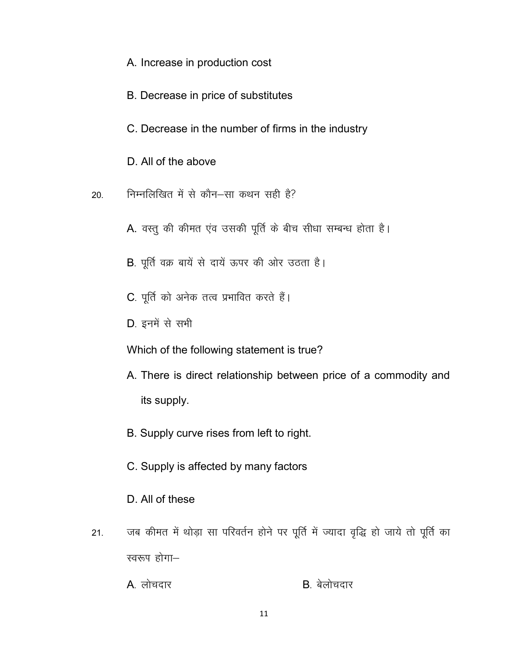- A. Increase in production cost
- B. Decrease in price of substitutes
- C. Decrease in the number of firms in the industry
- D. All of the above
- निम्नलिखित में से कौन-सा कथन सही है? 20.
	- A. वस्तू की कीमत एंव उसकी पूर्ति के बीच सीधा सम्बन्ध होता है।
	- B. पूर्ति वक्र बायें से दायें ऊपर की ओर उठता है।
	- C. पूर्ति को अनेक तत्व प्रभावित करते हैं।
	- D. इनमें से सभी

Which of the following statement is true?

- A. There is direct relationship between price of a commodity and its supply.
- B. Supply curve rises from left to right.
- C. Supply is affected by many factors
- D. All of these
- जब कीमत में थोड़ा सा परिवर्तन होने पर पूर्ति में ज्यादा वृद्धि हो जाये तो पूर्ति का  $21.$ स्वरूप होगा-
	- A लोचदार B. बेलोचदार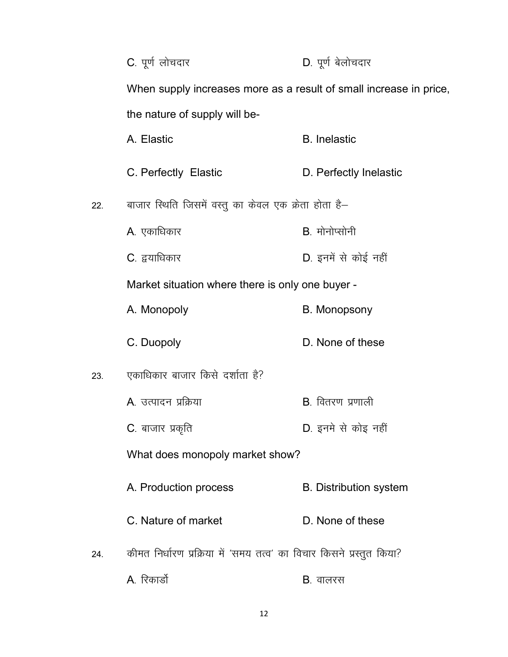|     | C. पूर्ण लोचदार                                                      | D. पूर्ण बेलोचदार             |
|-----|----------------------------------------------------------------------|-------------------------------|
|     | When supply increases more as a result of small increase in price,   |                               |
|     | the nature of supply will be-                                        |                               |
|     | A. Elastic                                                           | <b>B.</b> Inelastic           |
|     | C. Perfectly Elastic                                                 | D. Perfectly Inelastic        |
| 22. | बाजार स्थिति जिसमें वस्तु का केवल एक क्रेता होता है–                 |                               |
|     | A. एकाधिकार                                                          | B. मोनोप्सोनी                 |
|     | C. द्वयाधिकार                                                        | D. इनमें से कोई नहीं          |
|     | Market situation where there is only one buyer -                     |                               |
|     | A. Monopoly                                                          | <b>B. Monopsony</b>           |
|     | C. Duopoly                                                           | D. None of these              |
| 23. | एकाधिकार बाजार किसे दर्शाता है?                                      |                               |
|     | A. उत्पादन प्रक्रिया                                                 | <b>B.</b> वितरण प्रणाली       |
|     | C. बाजार प्रकृति                                                     | D. इनमे से कोइ नहीं           |
|     | What does monopoly market show?                                      |                               |
|     | A. Production process                                                | <b>B.</b> Distribution system |
|     | C. Nature of market                                                  | D. None of these              |
| 24. | कीमत निर्धारण प्रक्रिया में 'समय तत्व' का विचार किसने प्रस्तुत किया? |                               |
|     | A. रिकार्डो                                                          | <b>B</b> . वालरस              |

12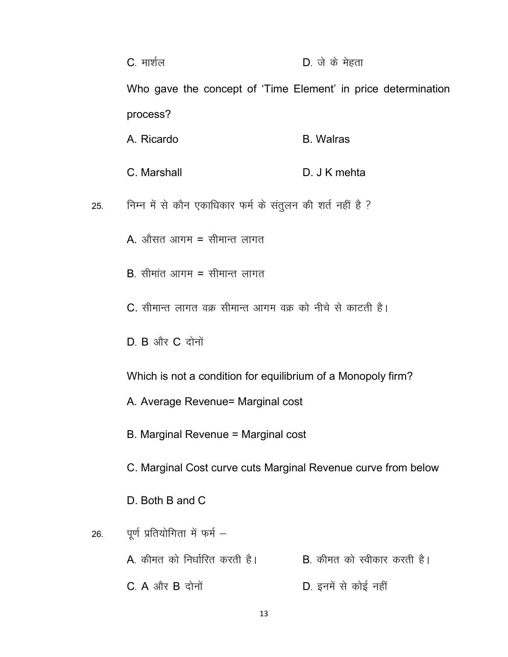|     | C. मार्शल                                                     | D. जे के मेहता                      |
|-----|---------------------------------------------------------------|-------------------------------------|
|     | Who gave the concept of 'Time Element' in price determination |                                     |
|     | process?                                                      |                                     |
|     | A. Ricardo                                                    | <b>B.</b> Walras                    |
|     | C. Marshall                                                   | D. J K mehta                        |
| 25. | निम्न में से कौन एकाधिकार फर्म के संतुलन की शर्त नहीं है ?    |                                     |
|     | A. औसत आगम = सीमान्त लागत                                     |                                     |
|     | $B$ , सीमांत आगम = सीमान्त लागत                               |                                     |
|     | C. सीमान्त लागत वक्र सीमान्त आगम वक्र को नीचे से काटती है।    |                                     |
|     | $D. B$ और $C.$ दोनों                                          |                                     |
|     | Which is not a condition for equilibrium of a Monopoly firm?  |                                     |
|     | A. Average Revenue= Marginal cost                             |                                     |
|     | B. Marginal Revenue = Marginal cost                           |                                     |
|     | C. Marginal Cost curve cuts Marginal Revenue curve from below |                                     |
|     | D. Both B and C                                               |                                     |
| 26. | पूर्ण प्रतियोगिता में फर्म -                                  |                                     |
|     | A. कीमत को निर्धारित करती है।                                 | <b>B</b> . कीमत को स्वीकार करती है। |
|     | $C. A$ और $B$ दोनों                                           | D. इनमें से कोई नहीं                |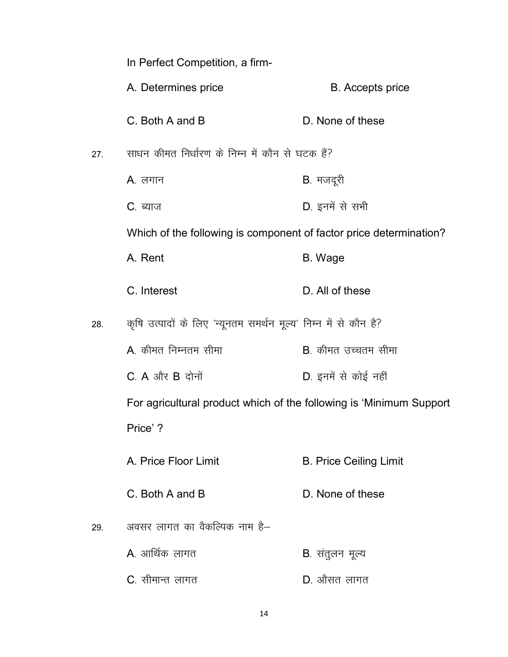|     | In Perfect Competition, a firm-                                     |                               |
|-----|---------------------------------------------------------------------|-------------------------------|
|     | A. Determines price                                                 | <b>B.</b> Accepts price       |
|     | C. Both A and B                                                     | D. None of these              |
| 27. | साधन कीमत निर्धारण के निम्न में कौन से घटक हैं?                     |                               |
|     | A. लगान                                                             | B. मजदूरी                     |
|     | <b>C</b> . ब्याज                                                    | D. इनमें से सभी               |
|     | Which of the following is component of factor price determination?  |                               |
|     | A. Rent                                                             | B. Wage                       |
|     | C. Interest                                                         | D. All of these               |
| 28. | कृषि उत्पादों के लिए 'न्यूनतम समर्थन मूल्य' निम्न में से कौन है?    |                               |
|     | A. कीमत निम्नतम सीमा                                                | B. कीमत उच्चतम सीमा           |
|     | $C. A$ और $B$ दोनों                                                 | D. इनमें से कोई नहीं          |
|     | For agricultural product which of the following is 'Minimum Support |                               |
|     | Price'?                                                             |                               |
|     | A. Price Floor Limit                                                | <b>B. Price Ceiling Limit</b> |
|     | C. Both A and B                                                     | D. None of these              |
| 29. | अवसर लागत का वैकल्पिक नाम है–                                       |                               |
|     | A. आर्थिक लागत                                                      | <b>B</b> . संतुलन मूल्य       |
|     | C. सीमान्त लागत                                                     | D. औसत लागत                   |

14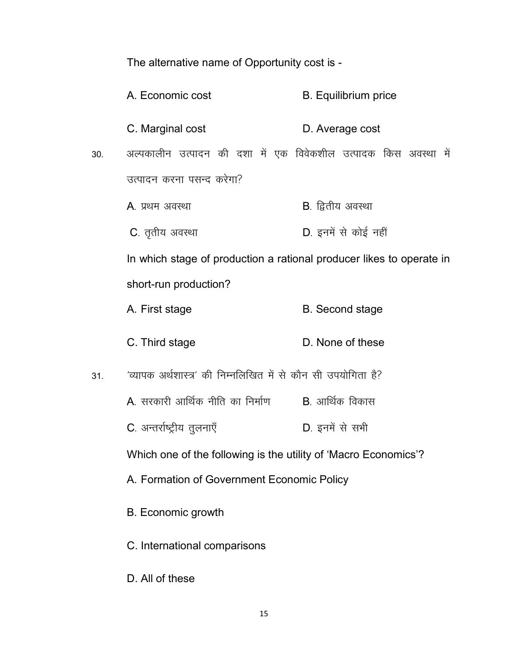The alternative name of Opportunity cost is -

- A. Economic cost **B. Equilibrium price**
- C. Marginal cost **D.** Average cost
- 30. अल्पकालीन उत्पादन की दशा में एक विवेकशील उत्पादक किस अवस्था में उत्पादन करना पसन्द करेगा?
	- $A$ , प्रथम अवस्था and the voltage voltage  $B$ , द्वितीय अवस्था
	- C. तृतीय अवस्था बाद कर कर D. इनमें से कोई नहीं

In which stage of production a rational producer likes to operate in short-run production?

- A. First stage B. Second stage
- C. Third stage D. None of these
- 31. व्यापक अर्थशास्त्र' की निम्नलिखित में से कौन सी उपयोगिता है?
	- $A$ . सरकारी आर्थिक नीति का निर्माण  $B$ . आर्थिक विकास
	- C. अन्तर्राष्ट्रीय तूलनाएँ <u>D. इनमें से</u> सभी

Which one of the following is the utility of 'Macro Economics'?

- A. Formation of Government Economic Policy
- B. Economic growth
- C. International comparisons
- D. All of these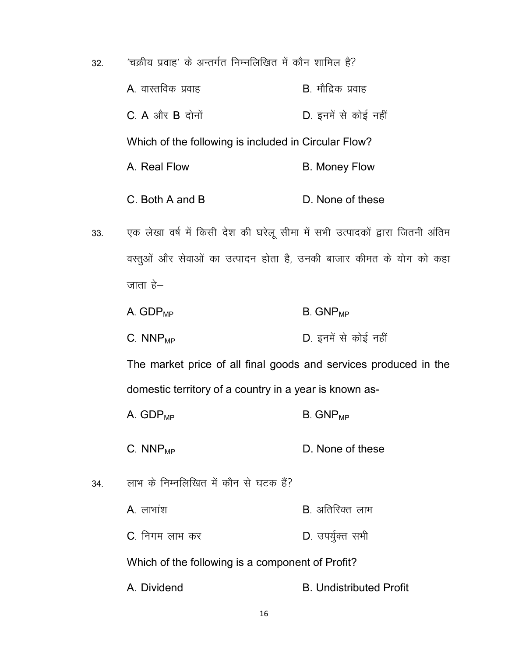- $32.$   $\epsilon$   $\rangle$  'चक्रीय प्रवाह' के अन्तर्गत निम्नलिखित में कौन शामिल है?  $A$ . वास्तविक प्रवाह $B$ -  $B$ - मौद्रिक प्रवाह  $C. A$  और  $B$  दोनों  $D.$  इनमें से कोई नहीं Which of the following is included in Circular Flow? A. Real Flow B. Money Flow C. Both A and B D. None of these
- 33. पक लेखा वर्ष में किसी देश की घरेलू सीमा में सभी उत्पादकों द्वारा जितनी अंतिम वस्तुओं और सेवाओं का उत्पादन होता है, उनकी बाजार कीमत के योग को कहा जाता $\approx$ 
	- $A.$  GDP<sub>MP</sub> B. GNP<sub>MP</sub>
	- C.  $NNP_{MP}$  D. इनमें से कोई नहीं

The market price of all final goods and services produced in the domestic territory of a country in a year is known as-

- $A.$  GDP<sub>MP</sub> B. GNP<sub>MP</sub>
- $C. NNP<sub>MP</sub>$  D. None of these
- 34. व्याभ के निम्नलिखित में कौन से घटक हैं?
	- $A_{\cdot}$  लाभांश  $B_{\cdot}$  अतिरिक्त लाभ
	- C. निगम लाभ कर **D. उपर्युक्त सभी**

Which of the following is a component of Profit?

A. Dividend B. Undistributed Profit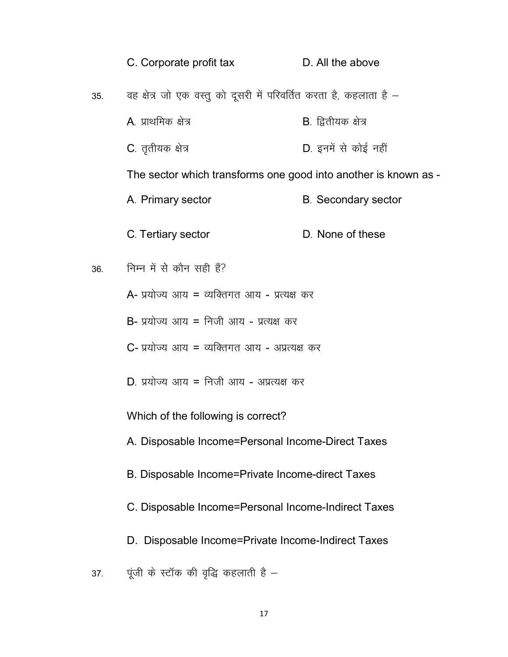|     | C. Corporate profit tax                                            | D. All the above            |
|-----|--------------------------------------------------------------------|-----------------------------|
| 35. | वह क्षेत्र जो एक वस्तु को दूसरी में परिवर्तित करता है, कहलाता है – |                             |
|     | A. प्राथमिक क्षेत्र                                                | <b>B</b> . द्वितीयक क्षेत्र |
|     | C. तृतीयक क्षेत्र                                                  | D. इनमें से कोई नहीं        |
|     | The sector which transforms one good into another is known as -    |                             |
|     | A. Primary sector                                                  | <b>B.</b> Secondary sector  |
|     | C. Tertiary sector                                                 | D. None of these            |
| 36. | निम्न में से कौन सही हैं?                                          |                             |
|     | A- प्रयोज्य आय = व्यक्तिगत आय - प्रत्यक्ष कर                       |                             |
|     | B- प्रयोज्य आय = निजी आय - प्रत्यक्ष कर                            |                             |
|     | C- प्रयोज्य आय = व्यक्तिगत आय - अप्रत्यक्ष कर                      |                             |
|     | D. प्रयोज्य आय = निजी आय - अप्रत्यक्ष कर                           |                             |
|     | Which of the following is correct?                                 |                             |
|     | A. Disposable Income=Personal Income-Direct Taxes                  |                             |
|     | B. Disposable Income=Private Income-direct Taxes                   |                             |
|     | C. Disposable Income=Personal Income-Indirect Taxes                |                             |
|     | D. Disposable Income=Private Income-Indirect Taxes                 |                             |
| 37. | पूंजी के स्टॉक की वृद्धि कहलाती है –                               |                             |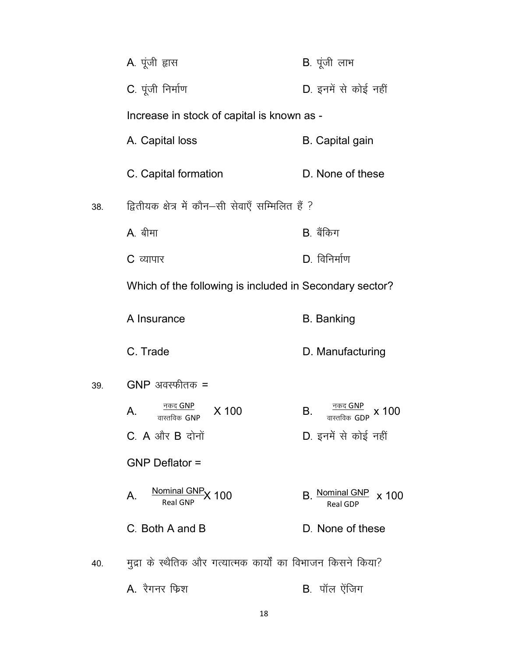|     | A. पूंजी ह्रास                                               | B. पूंजी लाभ                            |
|-----|--------------------------------------------------------------|-----------------------------------------|
|     | C. पूंजी निर्माण                                             | D. इनमें से कोई नहीं                    |
|     | Increase in stock of capital is known as -                   |                                         |
|     | A. Capital loss                                              | <b>B.</b> Capital gain                  |
|     | C. Capital formation                                         | D. None of these                        |
| 38. | द्वितीयक क्षेत्र में कौन–सी सेवाएँ सम्मिलित हैं ?            |                                         |
|     | A. बीमा                                                      | B. बैंकिग                               |
|     | C व्यापार                                                    | $D.$ विनिर्माण                          |
|     | Which of the following is included in Secondary sector?      |                                         |
|     | A Insurance                                                  | <b>B.</b> Banking                       |
|     | C. Trade                                                     | D. Manufacturing                        |
| 39. | $GNP$ अवस्फीतक =                                             |                                         |
|     | नकद GNP<br>X 100<br>А.<br>वास्तविक $GNP$                     | В.<br>x 100<br>वास्तविक $GDP$           |
|     | $C.$ A और B दोनों                                            | D. इनमें से कोई नहीं                    |
|     | <b>GNP Deflator =</b>                                        |                                         |
|     | Nominal GNP <sub>X</sub> 100<br>$A_{1}$<br><b>Real GNP</b>   | B. Nominal GNP x 100<br><b>Real GDP</b> |
|     | C. Both A and B                                              | D. None of these                        |
| 40. | मुद्रा के स्थैतिक और गत्यात्मक कार्यों का विभाजन किसने किया? |                                         |
|     | A. रैगनर फिश                                                 | B. पॉल ऐंजिग                            |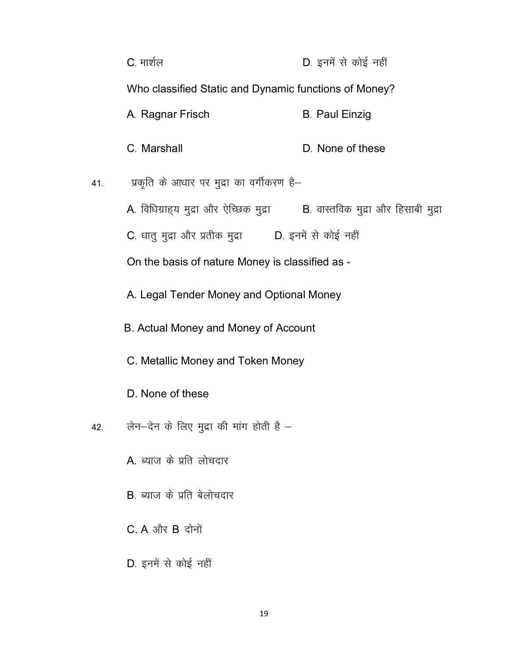|     | C. मार्शल                                                                  | D. इनमें से कोई नहीं  |
|-----|----------------------------------------------------------------------------|-----------------------|
|     | Who classified Static and Dynamic functions of Money?                      |                       |
|     | A. Ragnar Frisch                                                           | <b>B. Paul Einzig</b> |
|     | C. Marshall                                                                | D. None of these      |
| 41. | प्रकृति के आधार पर मुद्रा का वर्गीकरण है–                                  |                       |
|     | A. विधिग्राह्य मुद्रा और ऐच्छिक मुद्रा B. वास्तविक मुद्रा और हिसाबी मुद्रा |                       |
|     | C. धातु मुद्रा और प्रतीक मुद्रा <b>D. इनमें से कोई नहीं</b>                |                       |
|     | On the basis of nature Money is classified as -                            |                       |
|     | A. Legal Tender Money and Optional Money                                   |                       |
|     | B. Actual Money and Money of Account                                       |                       |
|     | C. Metallic Money and Token Money                                          |                       |
|     | D. None of these                                                           |                       |
| 42. | लेन-देन के लिए मुद्रा की मांग होती है -                                    |                       |
|     | A. ब्याज के प्रति लोचदार                                                   |                       |
|     | B. ब्याज के प्रति बेलोचदार                                                 |                       |
|     | $C_A$ और $B$ दोनों                                                         |                       |
|     | D. इनमें से कोई नहीं                                                       |                       |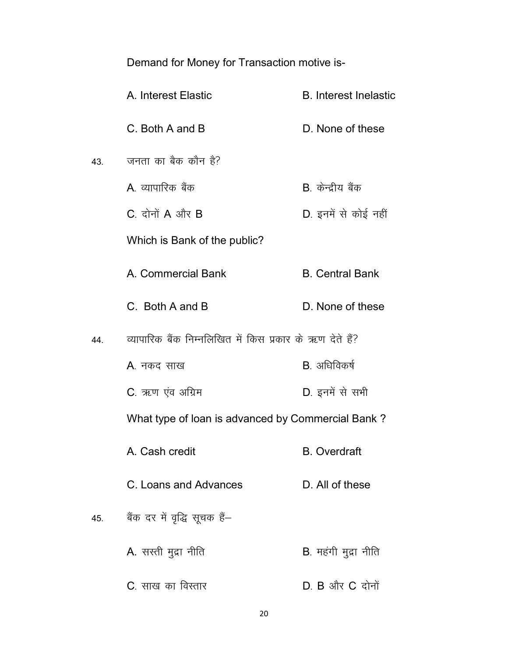Demand for Money for Transaction motive is-

|     | A. Interest Elastic                                      | <b>B.</b> Interest Inelastic |  |  |  |  |
|-----|----------------------------------------------------------|------------------------------|--|--|--|--|
|     | C. Both A and B                                          | D. None of these             |  |  |  |  |
| 43. | जनता का बैक कौन है?                                      |                              |  |  |  |  |
|     | A व्यापारिक बैंक                                         | B केन्द्रीय बैंक             |  |  |  |  |
|     | $C_{a}$ दोनों $A$ और $B$                                 | D. इनमें से कोई नहीं         |  |  |  |  |
|     | Which is Bank of the public?                             |                              |  |  |  |  |
|     | A. Commercial Bank                                       | <b>B.</b> Central Bank       |  |  |  |  |
|     | C. Both A and B                                          | D. None of these             |  |  |  |  |
| 44. | व्यापारिक बैंक निम्नलिखित में किस प्रकार के ऋण देते हैं? |                              |  |  |  |  |
|     | A. नकद साख                                               | B. अधिविकर्ष                 |  |  |  |  |
|     | C. ऋण एंव अग्रिम                                         | D. इनमें से सभी              |  |  |  |  |
|     | What type of loan is advanced by Commercial Bank?        |                              |  |  |  |  |
|     | A. Cash credit                                           | <b>B.</b> Overdraft          |  |  |  |  |
|     | C. Loans and Advances                                    | D. All of these              |  |  |  |  |
| 45. | बैंक दर में वृद्धि सूचक हैं-                             |                              |  |  |  |  |
|     | A. सस्ती मुद्रा नीति                                     | B. महंगी मुद्रा नीति         |  |  |  |  |
|     | C. साख का विस्तार                                        | $D. B$ और $C$ दोनों          |  |  |  |  |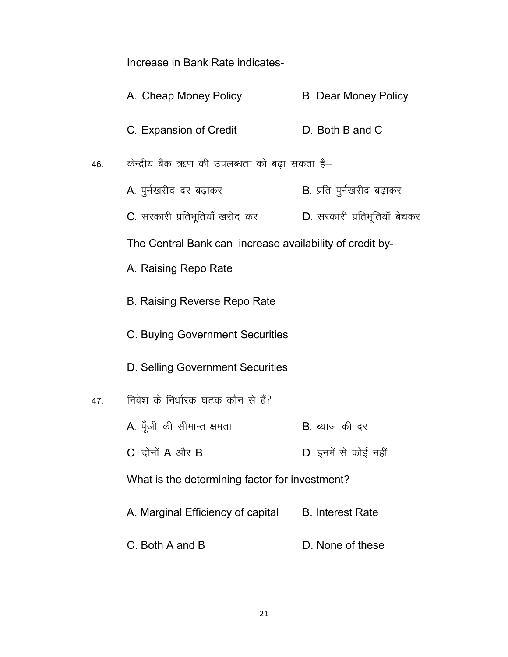Increase in Bank Rate indicates-

|     | A. Cheap Money Policy                                    | <b>B. Dear Money Policy</b>       |
|-----|----------------------------------------------------------|-----------------------------------|
|     | C. Expansion of Credit                                   | D. Both B and C                   |
| 46. | केन्द्रीय बैंक ऋण की उपलब्धता को बढ़ा सकता है–           |                                   |
|     | A. पुर्नखरीद दर बढ़ाकर                                   | <b>B</b> . प्रति पुर्नखरीद बढ़ाकर |
|     | C. सरकारी प्रतिभूतियाँ खरीद कर                           | D. सरकारी प्रतिभूतियाँ बेचकर      |
|     | The Central Bank can increase availability of credit by- |                                   |
|     | A. Raising Repo Rate                                     |                                   |
|     | <b>B. Raising Reverse Repo Rate</b>                      |                                   |
|     | C. Buying Government Securities                          |                                   |
|     | D. Selling Government Securities                         |                                   |
| 47. | निवेश के निर्धारक घटक कौन से हैं?                        |                                   |
|     | A. पूँजी की सीमान्त क्षमता                               | B. ब्याज की दर                    |
|     | C. दोनों A और B                                          | D. इनमें से कोई नहीं              |
|     | What is the determining factor for investment?           |                                   |
|     | A. Marginal Efficiency of capital                        | <b>B.</b> Interest Rate           |
|     | C. Both A and B                                          | D. None of these                  |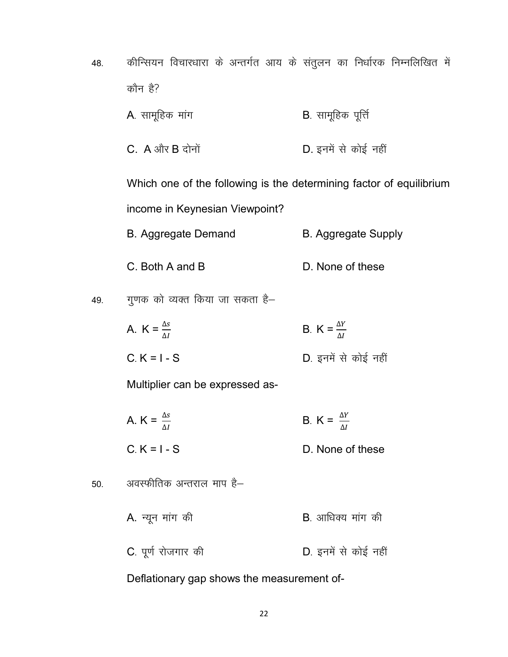- 48. कीन्सियन विचारधारा के अन्तर्गत आय के संतुलन का निर्धारक निम्नलिखित में कौन है? A. सामूहिक मांग **EXA- 1999** B. सामूहिक पूर्ति
	- $C. A$  और  $B$  दोनों  $D.$  इनमें से कोई नहीं

Which one of the following is the determining factor of equilibrium income in Keynesian Viewpoint?

- B. Aggregate Demand B. Aggregate Supply
- C. Both A and B D. None of these

49. गुणक को व्यक्त किया जा सकता है–

A.  $K = \frac{\Delta s}{\Delta l}$ B. K =  $\frac{\Delta Y}{\Delta I}$  $C. K = I - S$  D. इनमें से कोई नहीं

Multiplier can be expressed as-

A.  $K = \frac{\Delta s}{\Delta l}$ B. K =  $\frac{\Delta Y}{\Delta I}$  $C_K = I - S$  D. None of these

50. अवस्फीतिक अन्तराल माप है– A. न्यून मांग की बाहिए के बाद करने B. आधिक्य मांग की C. पूर्ण रोजगार की बाद कर D. इनमें से कोई नहीं

Deflationary gap shows the measurement of-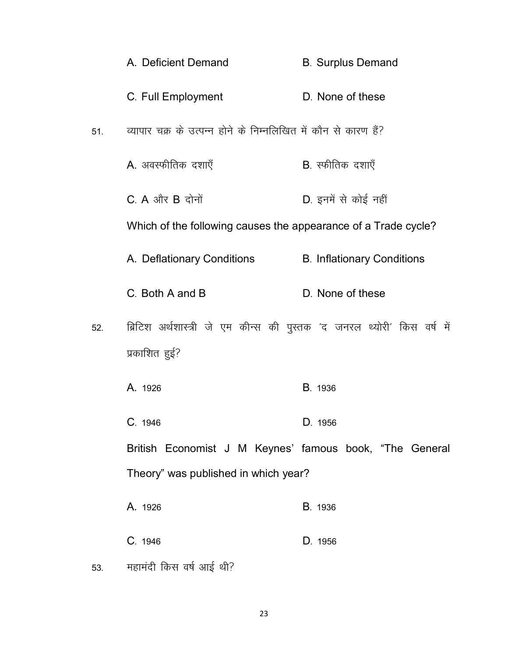|     | A. Deficient Demand                                                     | <b>B. Surplus Demand</b>          |
|-----|-------------------------------------------------------------------------|-----------------------------------|
|     | C. Full Employment                                                      | D. None of these                  |
| 51. | व्यापार चक्र के उत्पन्न होने के निम्नलिखित में कौन से कारण हैं?         |                                   |
|     | A. अवस्फीतिक दशाएँ                                                      | <b>B</b> . स्फीतिक दशाएँ          |
|     | $C. A$ और $B$ दोनों                                                     | D. इनमें से कोई नहीं              |
|     | Which of the following causes the appearance of a Trade cycle?          |                                   |
|     | A. Deflationary Conditions                                              | <b>B. Inflationary Conditions</b> |
|     | C. Both A and B                                                         | D. None of these                  |
| 52. | ब्रिटिश अर्थशास्त्री जे एम कीन्स की पुस्तक 'द जनरल थ्योरी' किस वर्ष में |                                   |
|     | प्रकाशित हुई?                                                           |                                   |
|     | A. 1926                                                                 | B. 1936                           |
|     | C. 1946                                                                 | D. 1956                           |
|     | British Economist J M Keynes' famous book, "The General                 |                                   |
|     | Theory" was published in which year?                                    |                                   |
|     | A. 1926                                                                 | B. 1936                           |
|     | C. 1946                                                                 | D. 1956                           |
| 53. | महामंदी किस वर्ष आई थी?                                                 |                                   |

23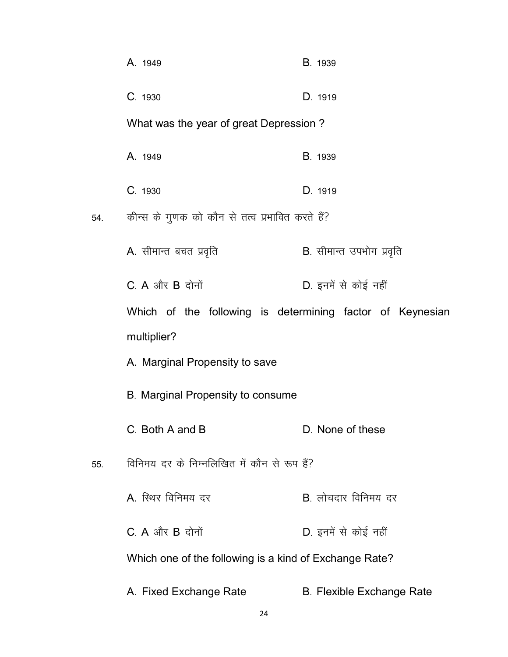|     | A. 1949                                                   | B. 1939                          |
|-----|-----------------------------------------------------------|----------------------------------|
|     | C. 1930                                                   | D. 1919                          |
|     | What was the year of great Depression?                    |                                  |
|     | A. 1949                                                   | B. 1939                          |
|     | C. 1930                                                   | D. 1919                          |
| 54. | कीन्स के गुणक को कौन से तत्व प्रभावित करते हैं?           |                                  |
|     | A. सीमान्त बचत प्रवृति                                    | B. सीमान्त उपभोग प्रवृति         |
|     | $C$ . A और B दोनों                                        | D. इनमें से कोई नहीं             |
|     | Which of the following is determining factor of Keynesian |                                  |
|     | multiplier?                                               |                                  |
|     | A. Marginal Propensity to save                            |                                  |
|     | B. Marginal Propensity to consume                         |                                  |
|     | C. Both A and B                                           | D. None of these                 |
| 55. | विनिमय दर के निम्नलिखित में कौन से रूप हैं?               |                                  |
|     | A. स्थिर विनिमय दर                                        | B. लोचदार विनिमय दर              |
|     | $C. A$ और $B$ दोनों                                       | D. इनमें से कोई नहीं             |
|     | Which one of the following is a kind of Exchange Rate?    |                                  |
|     | A. Fixed Exchange Rate                                    | <b>B. Flexible Exchange Rate</b> |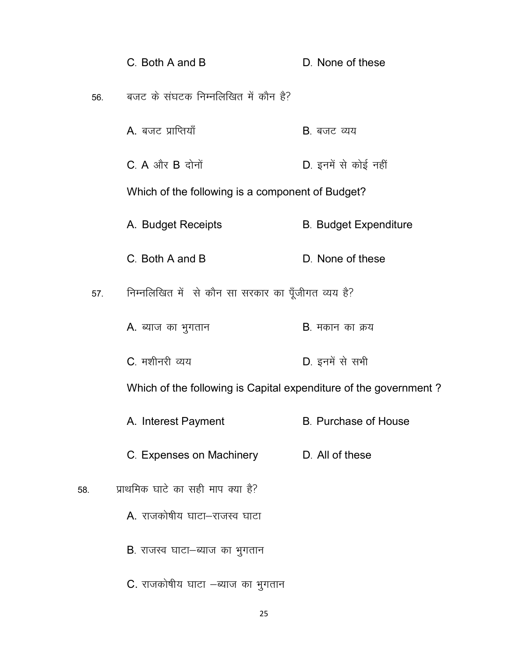|     | C. Both A and B                                                  | D. None of these             |
|-----|------------------------------------------------------------------|------------------------------|
| 56. | बजट के संघटक निम्नलिखित में कौन है?                              |                              |
|     | A. बजट प्राप्तियाँ                                               | <b>B</b> . बजट व्यय          |
|     | $C. A$ और $B$ दोनों                                              | D. इनमें से कोई नहीं         |
|     | Which of the following is a component of Budget?                 |                              |
|     | A. Budget Receipts                                               | <b>B. Budget Expenditure</b> |
|     | C. Both A and B                                                  | D. None of these             |
| 57. | निम्नलिखित में से कौन सा सरकार का पूँजीगत व्यय है?               |                              |
|     | A. ब्याज का भुगतान                                               | <b>B</b> . मकान का क्रय      |
|     | C. मशीनरी व्यय                                                   | D. इनमें से सभी              |
|     | Which of the following is Capital expenditure of the government? |                              |
|     | A. Interest Payment                                              | <b>B.</b> Purchase of House  |
|     | C. Expenses on Machinery                                         | D. All of these              |
| 58. | प्राथमिक घाटे का सही माप क्या है?                                |                              |
|     | A. राजकोषीय घाटा-राजस्व घाटा                                     |                              |
|     | B. राजस्व घाटा-ब्याज का भुगतान                                   |                              |
|     | C. राजकोषीय घाटा –ब्याज का भुगतान                                |                              |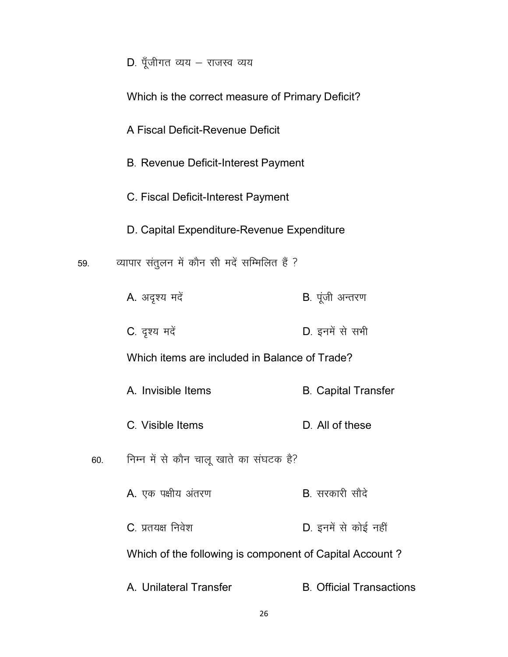| D. पॅंजीगत व्यय - राजस्व व्यय |  |  |  |  |  |  |  |
|-------------------------------|--|--|--|--|--|--|--|
|-------------------------------|--|--|--|--|--|--|--|

|     | Which is the correct measure of Primary Deficit? |                                                         |  |  |  |  |
|-----|--------------------------------------------------|---------------------------------------------------------|--|--|--|--|
|     | A Fiscal Deficit-Revenue Deficit                 |                                                         |  |  |  |  |
|     | <b>B. Revenue Deficit-Interest Payment</b>       |                                                         |  |  |  |  |
|     | C. Fiscal Deficit-Interest Payment               |                                                         |  |  |  |  |
|     | D. Capital Expenditure-Revenue Expenditure       |                                                         |  |  |  |  |
| 59. | व्यापार संतुलन में कौन सी मदें सम्मिलित हैं ?    |                                                         |  |  |  |  |
|     | A. अदृश्य मदें                                   | <b>B</b> . पूंजी अन्तरण                                 |  |  |  |  |
|     | C. दृश्य मदें                                    | D. इनमें से सभी                                         |  |  |  |  |
|     | Which items are included in Balance of Trade?    |                                                         |  |  |  |  |
|     | A. Invisible Items                               | <b>B.</b> Capital Transfer                              |  |  |  |  |
|     | C. Visible Items                                 | D. All of these                                         |  |  |  |  |
| 60. | निम्न में से कौन चालू खाते का संघटक है?          |                                                         |  |  |  |  |
|     | A. एक पक्षीय अंतरण                               | <b>B</b> . सरकारी सौदे                                  |  |  |  |  |
|     | C. प्रतयक्ष निवेश                                | D. इनमें से कोई नहीं                                    |  |  |  |  |
|     |                                                  | Which of the following is component of Capital Account? |  |  |  |  |
|     | A. Unilateral Transfer                           | <b>B.</b> Official Transactions                         |  |  |  |  |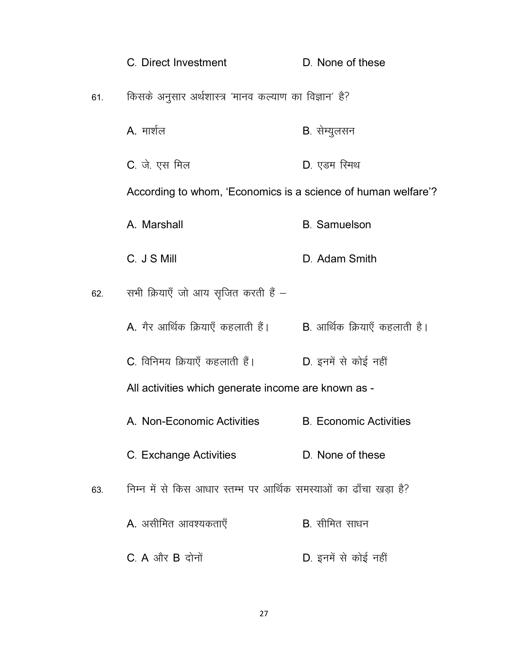|     | C. Direct Investment                                                 | D. None of these              |
|-----|----------------------------------------------------------------------|-------------------------------|
| 61. | किसके अनुसार अर्थशास्त्र 'मानव कल्याण का विज्ञान' है?                |                               |
|     | A. मार्शल                                                            | B. सेम्युलसन                  |
|     | C. जे. एस मिल                                                        | D. एडम रि <del>ग</del> थ      |
|     | According to whom, 'Economics is a science of human welfare'?        |                               |
|     | A. Marshall                                                          | <b>B.</b> Samuelson           |
|     | C. J S Mill                                                          | D. Adam Smith                 |
| 62. | सभी क्रियाएँ जो आय सृजित करती हैं –                                  |                               |
|     | A. गैर आर्थिक क्रियाएँ कहलाती हैं।<br>B. आर्थिक क्रियाएँ कहलाती हैं। |                               |
|     | C. विनिमय क्रियाएँ कहलाती हैं।                                       | D. इनमें से कोई नहीं          |
|     | All activities which generate income are known as -                  |                               |
|     | A. Non-Economic Activities                                           | <b>B. Economic Activities</b> |
|     | C. Exchange Activities                                               | D. None of these              |
| 63. | निम्न में से किस आधार स्तम्भ पर आर्थिक समस्याओं का ढाँचा खड़ा है?    |                               |
|     | A. असीमित आवश्यकताएँ                                                 | B. सीमित साधन                 |
|     | $C$ . A और B दोनों                                                   | D. इनमें से कोई नहीं          |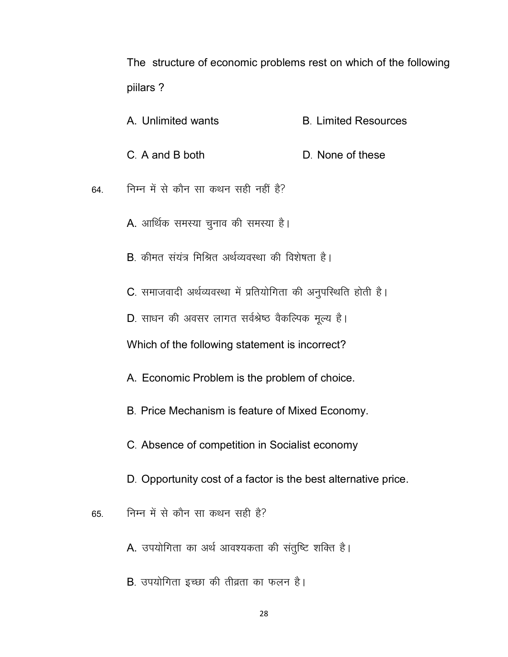The structure of economic problems rest on which of the following piilars ?

A. Unlimited wants **B- Limited Resources** C<sub>r</sub> A and B both D<sub>r</sub> None of these 64- fuEu esa l s dkSu lk dFku lgh ugha gS\ A. आर्थिक समस्या चुनाव की समस्या है। B. कीमत संयंत्र मिश्रित अर्थव्यवस्था की विशेषता है। C. समाजवादी अर्थव्यवस्था में प्रतियोगिता की अनुपस्थिति होती है। D. साधन की अवसर लागत सर्वश्रेष्ठ वैकल्पिक मूल्य है। Which of the following statement is incorrect? A. Economic Problem is the problem of choice.

- B. Price Mechanism is feature of Mixed Economy.
- C- Absence of competition in Socialist economy
- D. Opportunity cost of a factor is the best alternative price.
- $65.$  निम्न में से कौन सा कथन सही है?
	- A. उपयोगिता का अर्थ आवश्यकता की संतुष्टि शक्ति है।
	- B. उपयोगिता इच्छा की तीव्रता का फलन है।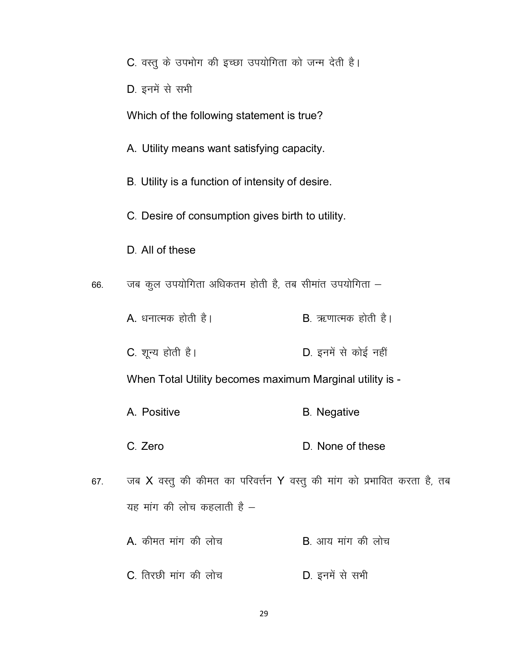|  |  |  |  |  |  | C. वस्तु के उपभोग की इच्छा उपयोगिता को जन्म देती है। |  |  |  |  |
|--|--|--|--|--|--|------------------------------------------------------|--|--|--|--|
|--|--|--|--|--|--|------------------------------------------------------|--|--|--|--|

D. इनमें से सभी

Which of the following statement is true?

A. Utility means want satisfying capacity.

B. Utility is a function of intensity of desire.

C- Desire of consumption gives birth to utility.

D. All of these

66. जब कूल उपयोगिता अधिकतम होती है, तब सीमांत उपयोगिता  $-$ 

- A. धनात्मक होती है।  $B.$  ऋणात्मक होती है।
- C. शून्य होती है। The Sea D. इनमें से कोई नहीं

When Total Utility becomes maximum Marginal utility is -

- A. Positive B. Negative
- C. Zero D. None of these
- 67. जब X वस्तु की कीमत का परिवर्त्तन Y वस्तु की मांग को प्रभावित करता है, तब यह मांग की लोच कहलाती है $-$ 
	- $A.$  कीमत मांग की लोच  $B.$  आय मांग की लोच
	- C. तिरछी मांग की लोच best D. इनमें से सभी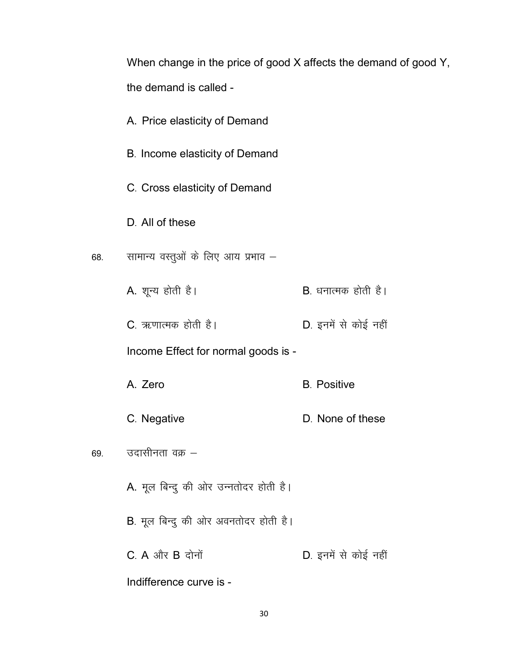When change in the price of good X affects the demand of good Y, the demand is called -

A. Price elasticity of Demand B. Income elasticity of Demand C. Cross elasticity of Demand D. All of these सामान्य वस्तुओं के लिए आय प्रभाव – 68. A. शून्य होती है।  $B$ , धनात्मक होती है। C. ऋणात्मक होती है। D. इनमें से कोई नहीं Income Effect for normal goods is -A. Zero **B.** Positive C. Negative D. None of these उदासीनता वक्र  $-$ 69. A. मूल बिन्दु की ओर उन्नतोदर होती है। B. मूल बिन्दु की ओर अवनतोदर होती है।  $C. A$  और  $B$  दोनों D. इनमें से कोई नहीं Indifference curve is -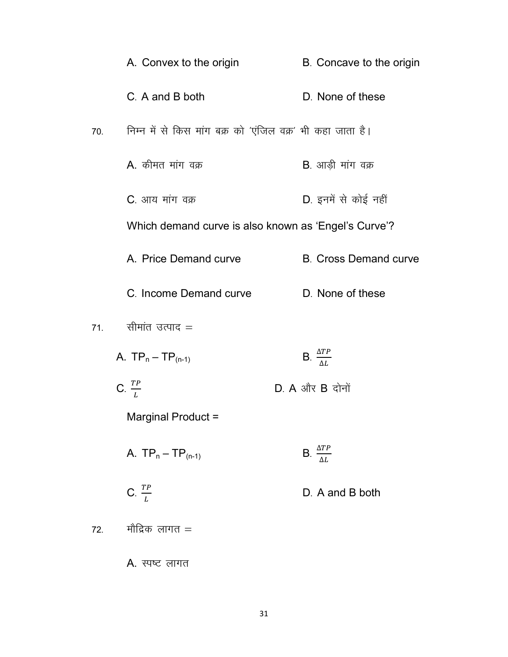|     | A. Convex to the origin                                    | B. Concave to the origin        |
|-----|------------------------------------------------------------|---------------------------------|
|     | C. A and B both                                            | D. None of these                |
| 70. | निम्न में से किस मांग बक्र को 'एंजिल वक्र' भी कहा जाता है। |                                 |
|     | A. कीमत मांग वक्र                                          | <b>B</b> . आड़ी मांग वक्र       |
|     | C. आय मांग वक्र                                            | D. इनमें से कोई नहीं            |
|     | Which demand curve is also known as 'Engel's Curve'?       |                                 |
|     | A. Price Demand curve                                      | <b>B. Cross Demand curve</b>    |
|     | C. Income Demand curve                                     | D. None of these                |
| 71. | सीमांत उत्पाद =                                            |                                 |
|     | A. $TP_n - TP_{(n-1)}$                                     | B. $\frac{\Delta TP}{\Delta L}$ |
|     | C. $\frac{TP}{L}$                                          | $D. A$ और $B$ दोनों             |
|     | Marginal Product =                                         |                                 |
|     | A. $TP_n - TP_{(n-1)}$                                     | B. $\frac{\Delta TP}{\Delta L}$ |
|     | C. $\frac{TP}{L}$                                          | D. A and B both                 |
| 72. | मौद्रिक लागत =                                             |                                 |
|     | A. स्पष्ट लागत                                             |                                 |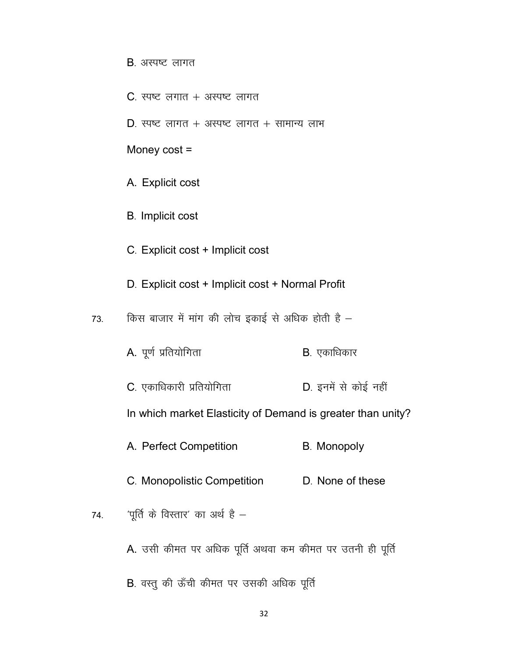- $B.$  अस्पष्ट लागत
- $C.$  स्पष्ट लगात + अस्पष्ट लागत
- D. स्पष्ट लागत + अस्पष्ट लागत + सामान्य लाभ

Money cost =

- A. Explicit cost
- B. Implicit cost
- C- Explicit cost + Implicit cost
- D. Explicit cost + Implicit cost + Normal Profit
- $73.$  किस बाजार में मांग की लोच इकाई से अधिक होती है
	- A. पूर्ण प्रतियोगिता बाद्धा बाद्धा B. एकाधिकार
	- C. एकाधिकारी प्रतियोगिता and D. इनमें से कोई नहीं

In which market Elasticity of Demand is greater than unity?

- A. Perfect Competition B. Monopoly
- C. Monopolistic Competition D. None of these
- 74.  $\frac{1}{2}$  'पूर्ति के विस्तार' का अर्थ है
	- A. उसी कीमत पर अधिक पूर्ति अथवा कम कीमत पर उतनी ही पूर्ति
	- B. वस्तु की ऊँची कीमत पर उसकी अधिक पूर्ति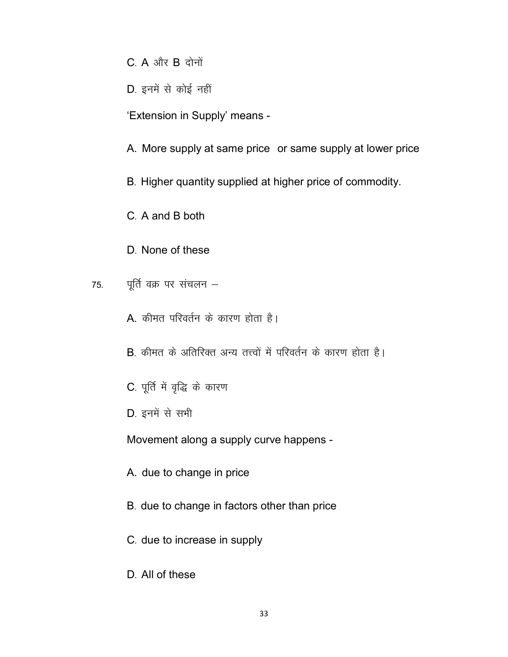$C. A$  और  $B$  दोनों

D. इनमें से कोई नहीं

'Extension in Supply' means -

A. More supply at same price or same supply at lower price

B. Higher quantity supplied at higher price of commodity.

C. A and B both

D. None of these

पूर्ति वक्र पर संचलन – 75.

A. कीमत परिवर्तन के कारण होता है।

B. कीमत के अतिरिक्त अन्य तत्त्वों में परिवर्तन के कारण होता है।

- C. पूर्ति में वृद्धि के कारण
- D. इनमें से सभी

Movement along a supply curve happens -

A. due to change in price

- B. due to change in factors other than price
- C. due to increase in supply
- D. All of these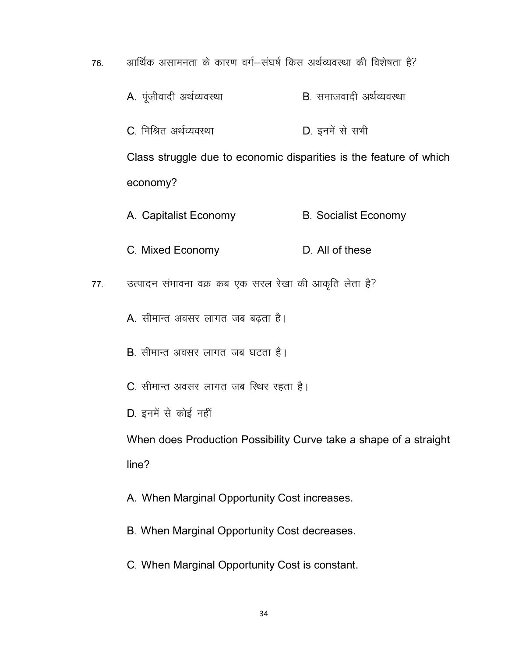76. अार्थिक असामनता के कारण वर्ग-संघर्ष किस अर्थव्यवस्था की विशेषता है?

- $A.$  पूंजीवादी अर्थव्यवस्था  $B.$  समाजवादी अर्थव्यवस्था
- C. मिश्रित अर्थव्यवस्था <u>D. इनमें से सभी</u>

Class struggle due to economic disparities is the feature of which economy?

- A. Capitalist Economy B. Socialist Economy
- C. Mixed Economy D. All of these
- 77. जत्पादन संभावना वक्र कब एक सरल रेखा की आकृति लेता है?
	- A. सीमान्त अवसर लागत जब बढ़ता है।
	- $B$ , सीमान्त अवसर लागत जब घटता है।
	- C. सीमान्त अवसर लागत जब स्थिर रहता है।
	- D. इनमें से कोई नहीं

When does Production Possibility Curve take a shape of a straight line?

A. When Marginal Opportunity Cost increases.

- B. When Marginal Opportunity Cost decreases.
- C- When Marginal Opportunity Cost is constant.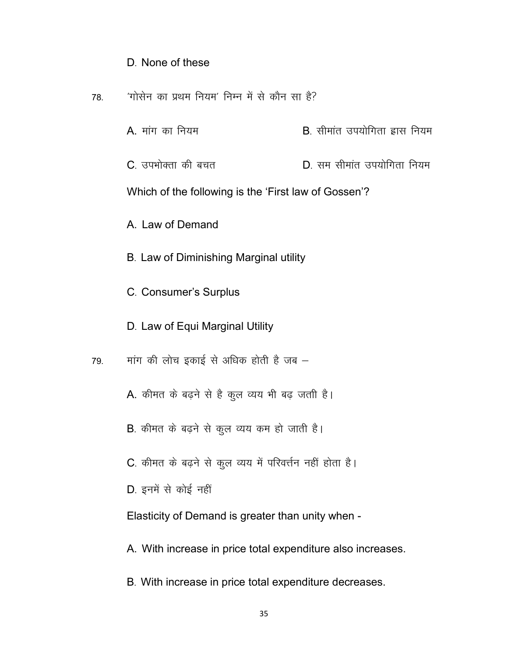#### D. None of these

- 78- ^xksl su dk izFke fu;e\* fuEu esa l s dkSu lk gS\
	- $A$ . मांग का नियम the state is contained by  $B$ , सीमांत उपयोगिता ह्रास नियम
	- $C_{\cdot}$  उपभोक्ता की बचत  $D_{\cdot}$  सम सीमांत उपयोगिता नियम

Which of the following is the 'First law of Gossen'?

A. Law of Demand

- B. Law of Diminishing Marginal utility
- C- Consumer's Surplus
- D. Law of Equi Marginal Utility
- $79.$  मांग की लोच इकाई से अधिक होती है जब  $-$ 
	- A. कीमत के बढ़ने से है कूल व्यय भी बढ़ जती है।
	- B. कीमत के बढ़ने से कूल व्यय कम हो जाती है।
	- C. कीमत के बढ़ने से कुल व्यय में परिवर्त्तन नहीं होता है।
	- D. इनमें से कोई नहीं

Elasticity of Demand is greater than unity when -

- A. With increase in price total expenditure also increases.
- B. With increase in price total expenditure decreases.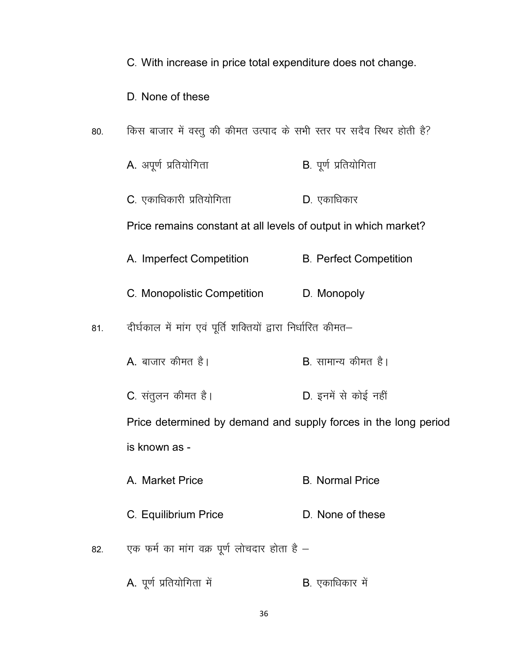C. With increase in price total expenditure does not change.

D. None of these

- किस बाजार में वस्तु की कीमत उत्पाद के सभी स्तर पर सदैव स्थिर होती है? 80.
	- A. अपूर्ण प्रतियोगिता B. पूर्ण प्रतियोगिता
	- C. एकाधिकारी प्रतियोगिता D. एकाधिकार

Price remains constant at all levels of output in which market?

- A. Imperfect Competition **B. Perfect Competition**
- C. Monopolistic Competition D. Monopoly
- दीर्घकाल में मांग एवं पूर्ति शक्तियों द्वारा निर्धारित कीमत–  $81.$ 
	- **B**. सामान्य कीमत है।  $\overline{A}$ , बाजार कीमत है।
	- C. संतुलन कीमत है। D. इनमें से कोई नहीं

Price determined by demand and supply forces in the long period is known as -

- A. Market Price **B.** Normal Price
- C. Equilibrium Price D. None of these
- एक फर्म का मांग वक्र पूर्ण लोचदार होता है -82.
	- A. पूर्ण प्रतियोगिता में B. एकाधिकार में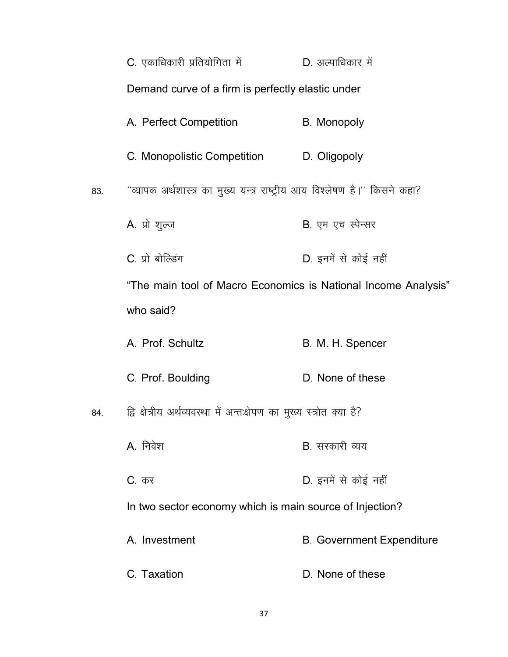|     | C. एकाधिकारी प्रतियोगिता में                                               | D. अल्पाधिकार में                |  |
|-----|----------------------------------------------------------------------------|----------------------------------|--|
|     | Demand curve of a firm is perfectly elastic under                          |                                  |  |
|     | A. Perfect Competition                                                     | <b>B.</b> Monopoly               |  |
|     | C. Monopolistic Competition                                                | D. Oligopoly                     |  |
| 83. | "व्यापक अर्थशास्त्र का मुख्य यन्त्र राष्ट्रीय आय विश्लेषण है।'' किसने कहा? |                                  |  |
|     | A. प्रो शुल्ज                                                              | B. एम एच स्पेन्सर                |  |
|     | C. प्रो बोल्डिंग                                                           | D. इनमें से कोई नहीं             |  |
|     | "The main tool of Macro Economics is National Income Analysis"             |                                  |  |
|     | who said?                                                                  |                                  |  |
|     | A. Prof. Schultz                                                           | B. M. H. Spencer                 |  |
|     | C. Prof. Boulding                                                          | D. None of these                 |  |
| 84. | द्वि क्षेत्रीय अर्थव्यवस्था में अन्तःक्षेपण का मुख्य स्त्रोत क्या है?      |                                  |  |
|     | A. निवेश                                                                   | <b>B</b> . सरकारी व्यय           |  |
|     | <b>C</b> . कर                                                              | D. इनमें से कोई नहीं             |  |
|     | In two sector economy which is main source of Injection?                   |                                  |  |
|     | A. Investment                                                              | <b>B. Government Expenditure</b> |  |
|     | C. Taxation                                                                | D. None of these                 |  |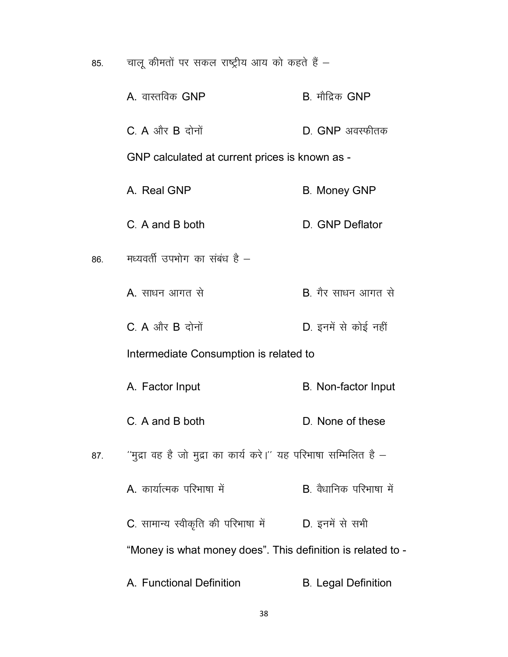चालू कीमतों पर सकल राष्ट्रीय आय को कहते हैं  $-$ 85.

|     | A. वास्तविक GNP                                                   | B. मौद्रिक GNP             |
|-----|-------------------------------------------------------------------|----------------------------|
|     | $C$ . A और B दोनों                                                | $D.$ GNP अवस्फीतक          |
|     | GNP calculated at current prices is known as -                    |                            |
|     | A. Real GNP                                                       | <b>B. Money GNP</b>        |
|     | C. A and B both                                                   | D. GNP Deflator            |
| 86. | मध्यवर्ती उपभोग का संबंध है –                                     |                            |
|     | A. साधन आगत से                                                    | B. गैर साधन आगत से         |
|     | $C. A$ और $B$ दोनों                                               | D. इनमें से कोई नहीं       |
|     | Intermediate Consumption is related to                            |                            |
|     | A. Factor Input                                                   | <b>B.</b> Non-factor Input |
|     | C. A and B both                                                   | D. None of these           |
| 87. | ''मुद्रा वह है जो मुद्रा का कार्य करे।'' यह परिभाषा सम्मिलित है – |                            |
|     | A. कार्यात्मक परिभाषा में                                         | B. वैधानिक परिभाषा में     |
|     | C. सामान्य स्वीकृति की परिभाषा में                                | D. इनमें से सभी            |
|     | "Money is what money does". This definition is related to -       |                            |
|     | A. Functional Definition                                          | <b>B.</b> Legal Definition |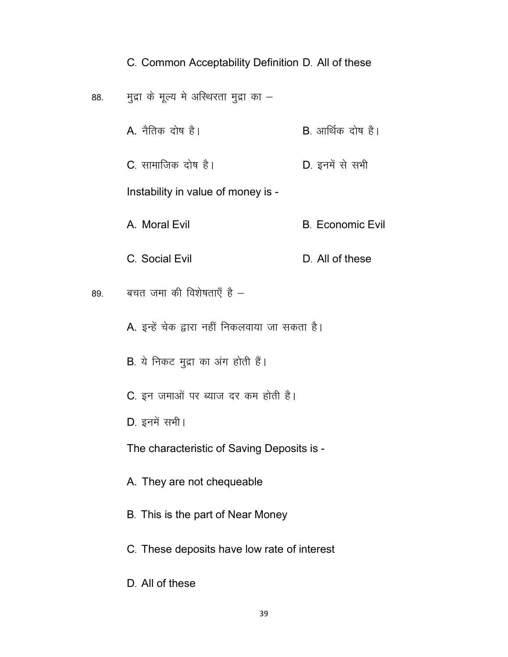#### C. Common Acceptability Definition D. All of these

- 88. मुद्रा के मूल्य मे अस्थिरता मुद्रा का  $-$ 
	- $A.$  नैतिक दोष है।  $B.$  आर्थिक दोष है।
	- C. सामाजिक दोष है। The South D. इनमें से सभी

Instability in value of money is -

A. Moral Evil **B. Economic Evil** 

C. Social Evil D. All of these

89. बचत जमा की विशेषताएँ है $-$ 

- A. इन्हें चेक द्वारा नहीं निकलवाया जा सकता है।
- $B.$  ये निकट मूद्रा का अंग होती हैं।
- C. इन जमाओं पर ब्याज दर कम होती है।
- D. इनमें सभी।

The characteristic of Saving Deposits is -

- A. They are not chequeable
- B. This is the part of Near Money
- C. These deposits have low rate of interest
- D. All of these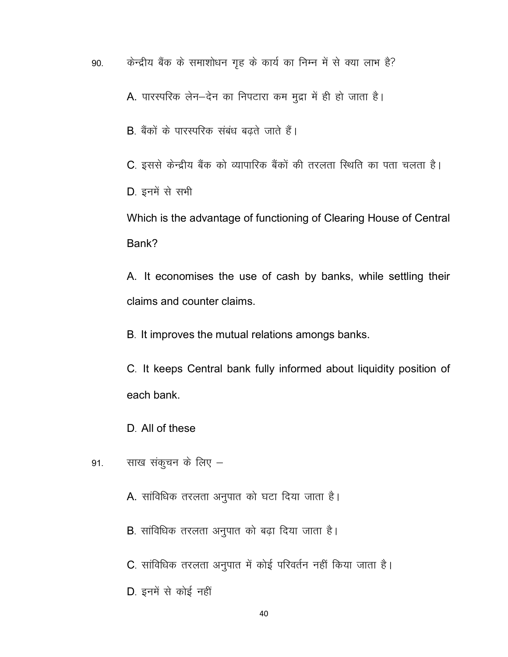90. किन्द्रीय बैंक के समाशोधन गृह के कार्य का निम्न में से क्या लाभ है?

A. पारस्परिक लेन-देन का निपटारा कम मुद्रा में ही हो जाता है।

B. बैंकों के पारस्परिक संबंध बढते जाते हैं।

C. इससे केन्द्रीय बैंक को व्यापारिक बैंकों की तरलता स्थिति का पता चलता है।

D. इनमें से सभी

Which is the advantage of functioning of Clearing House of Central Bank?

A. It economises the use of cash by banks, while settling their claims and counter claims.

B. It improves the mutual relations amongs banks.

C- It keeps Central bank fully informed about liquidity position of each bank.

D. All of these

- 91. साख संकुचन के लिए
	- A. सांविधिक तरलता अनुपात को घटा दिया जाता है।
	- B. सांविधिक तरलता अनुपात को बढ़ा दिया जाता है।
	- C. सांविधिक तरलता अनुपात में कोई परिवर्तन नहीं किया जाता है।

D. इनमें से कोई नहीं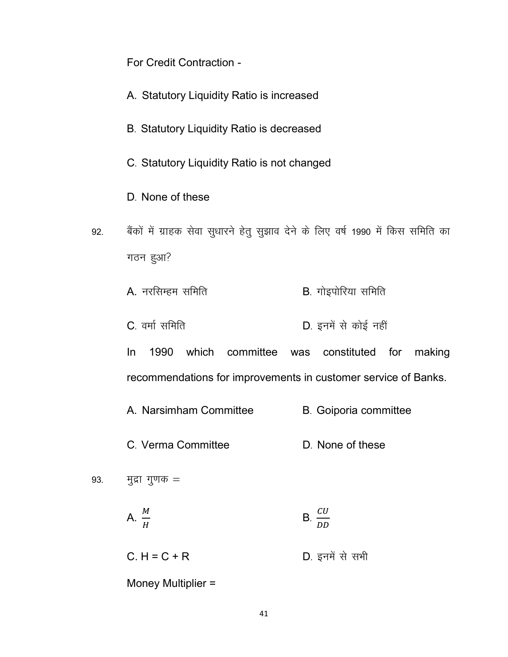For Credit Contraction -

- A. Statutory Liquidity Ratio is increased
- B. Statutory Liquidity Ratio is decreased
- C- Statutory Liquidity Ratio is not changed
- D. None of these
- 92. बैंकों में ग्राहक सेवा सुधारने हेतु सुझाव देने के लिए वर्ष 1990 में किस समिति का गठन हुआ?
	- $A.$  नरसिम्हम समिति  $B.$  गोइपोरिया समिति
	- C. वर्मा समिति<br>
	D. इनमें से कोई नहीं

In 1990 which committee was constituted for making recommendations for improvements in customer service of Banks.

- A. Narsimham Committee B. Goiporia committee
- C. Verma Committee D. None of these
- 93.  $\frac{1}{2}$  मुद्रा गुणक =
	- A.  $\frac{M}{H}$  $\mathbf{B} \cdot \frac{CU}{D}$ DD
	- $C. H = C + R$  D. इनमें से सभी

Money Multiplier =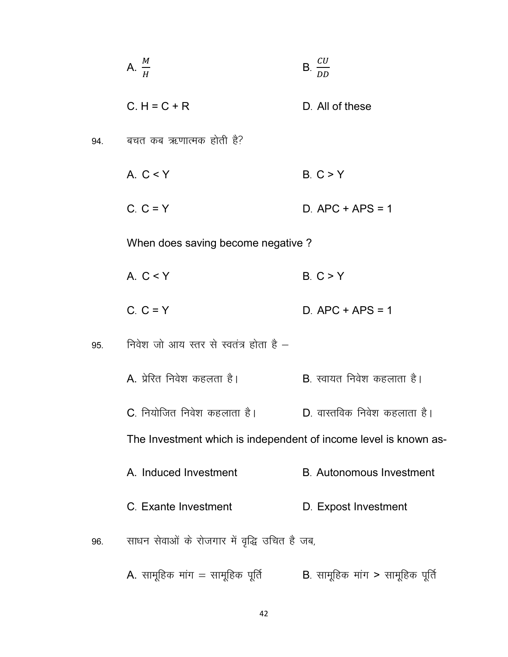|     | A. $\frac{M}{A}$                                                 | $B. \frac{CU}{1}$                  |
|-----|------------------------------------------------------------------|------------------------------------|
|     | $C.H = C + R$                                                    | D. All of these                    |
| 94. | बचत कब ऋणात्मक होती है?                                          |                                    |
|     | A. $C < Y$                                                       | B. C > Y                           |
|     | $C. C = Y$                                                       | $D.$ APC + APS = 1                 |
|     | When does saving become negative?                                |                                    |
|     | A. $C < Y$                                                       | B. C > Y                           |
|     | $C. C = Y$                                                       | $D.$ APC + APS = 1                 |
| 95. | निवेश जो आय स्तर से स्वतंत्र होता है –                           |                                    |
|     | A. प्रेरित निवेश कहलता है।                                       | <b>B</b> . स्वायत निवेश कहलाता है। |
|     | C. नियोजित निवेश कहलाता है।                                      | D. वास्तविक निवेश कहलाता है।       |
|     | The Investment which is independent of income level is known as- |                                    |
|     | A. Induced Investment                                            | <b>B.</b> Autonomous Investment    |
|     | C. Exante Investment                                             | D. Expost Investment               |
| 96. | साधन सेवाओं के रोजगार में वृद्धि उचित है जब,                     |                                    |
|     | A. सामूहिक मांग = सामूहिक पूर्ति                                 | B. सामूहिक मांग > सामूहिक पूर्ति   |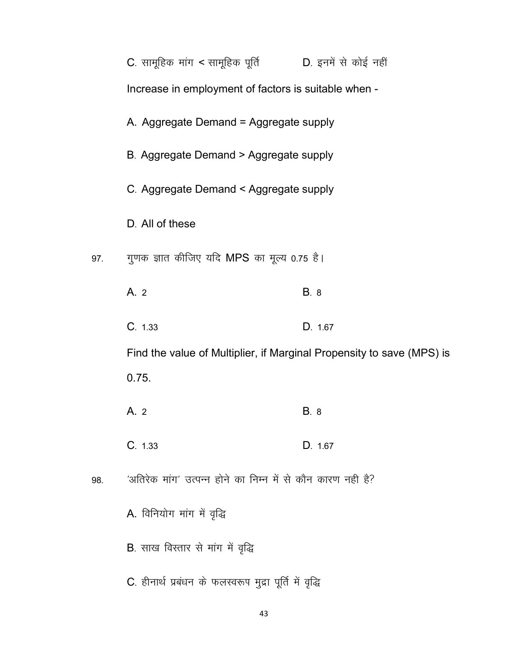|     | C. सामूहिक मांग < सामूहिक पूर्ति $\qquad$ D. इनमें से कोई नहीं        |             |  |
|-----|-----------------------------------------------------------------------|-------------|--|
|     | Increase in employment of factors is suitable when -                  |             |  |
|     | A. Aggregate Demand = Aggregate supply                                |             |  |
|     | B. Aggregate Demand > Aggregate supply                                |             |  |
|     | C. Aggregate Demand < Aggregate supply                                |             |  |
|     | D. All of these                                                       |             |  |
| 97. | गुणक ज्ञात कीजिए यदि MPS का मूल्य 0.75 है।                            |             |  |
|     | A.2                                                                   | <b>B.</b> 8 |  |
|     | C. 1.33                                                               | D. 1.67     |  |
|     | Find the value of Multiplier, if Marginal Propensity to save (MPS) is |             |  |
|     | 0.75.                                                                 |             |  |
|     | A. 2                                                                  | <b>B.</b> 8 |  |
|     | C. 1.33                                                               | D. 1.67     |  |
| 98. | 'अतिरेक मांग' उत्पन्न होने का निम्न में से कौन कारण नही है?           |             |  |
|     | A. विनियोग मांग में वृद्धि                                            |             |  |
|     | <b>B</b> . साख विस्तार से मांग में वृद्धि                             |             |  |
|     | C. हीनार्थ प्रबंधन के फलस्वरूप मुद्रा पूर्ति में वृद्धि               |             |  |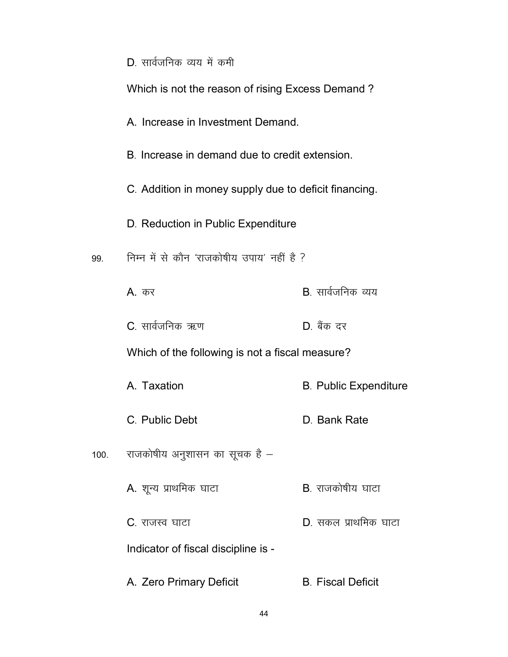|      | D. सार्वजनिक व्यय में कमी                             |                              |  |
|------|-------------------------------------------------------|------------------------------|--|
|      | Which is not the reason of rising Excess Demand?      |                              |  |
|      | A. Increase in Investment Demand.                     |                              |  |
|      | B. Increase in demand due to credit extension.        |                              |  |
|      | C. Addition in money supply due to deficit financing. |                              |  |
|      | D. Reduction in Public Expenditure                    |                              |  |
| 99.  | निम्न में से कौन 'राजकोषीय उपाय' नहीं है ?            |                              |  |
|      | <b>A</b> . कर                                         | <b>B</b> . सार्वजनिक व्यय    |  |
|      | C. सार्वजनिक ऋण                                       | D. बैंक दर                   |  |
|      | Which of the following is not a fiscal measure?       |                              |  |
|      | A. Taxation                                           | <b>B. Public Expenditure</b> |  |
|      | C. Public Debt                                        | D. Bank Rate                 |  |
| 100. | राजकोषीय अनुशासन का सूचक है –                         |                              |  |
|      | A. शून्य प्राथमिक घाटा                                | <b>B</b> . राजकोषीय घाटा     |  |
|      | C. राजस्व घाटा                                        | D. सकल प्राथमिक घाटा         |  |
|      | Indicator of fiscal discipline is -                   |                              |  |
|      | A. Zero Primary Deficit                               | <b>B. Fiscal Deficit</b>     |  |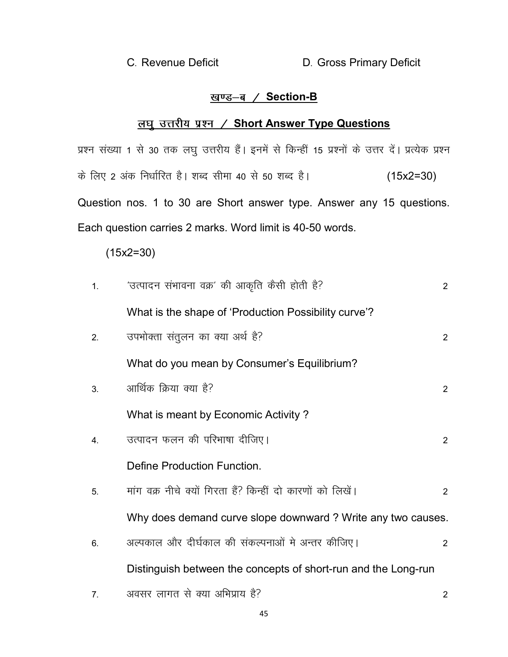C. Revenue Deficit **D.** Gross Primary Deficit

# <u>खण्ड-ब / Section-B</u>

# <u>लघु उत्तरीय प्रश्न / Short Answer Type Questions</u>

प्रश्न संख्या 1 से 30 तक लघु उत्तरीय हैं। इनमें से किन्हीं 15 प्रश्नों के उत्तर दें। प्रत्येक प्रश्न के लिए 2 अंक निर्धारित है। शब्द सीमा 40 से 50 शब्द है।  $(15x2=30)$ Question nos. 1 to 30 are Short answer type. Answer any 15 questions. Each question carries 2 marks. Word limit is 40-50 words.

(15x2=30)

| 1. | 'उत्पादन संभावना वक्र' की आकृति कैसी होती है?                  | $\overline{2}$ |
|----|----------------------------------------------------------------|----------------|
|    | What is the shape of 'Production Possibility curve'?           |                |
| 2. | उपभोक्ता संतुलन का क्या अर्थ है?                               | $\overline{2}$ |
|    | What do you mean by Consumer's Equilibrium?                    |                |
| 3. | आर्थिक क्रिया क्या है?                                         | $\overline{2}$ |
|    | What is meant by Economic Activity?                            |                |
| 4. | उत्पादन फलन की परिभाषा दीजिए।                                  | 2              |
|    | Define Production Function.                                    |                |
| 5. | मांग वक्र नीचे क्यों गिरता हैं? किन्हीं दो कारणों को लिखें।    | 2              |
|    | Why does demand curve slope downward? Write any two causes.    |                |
| 6. | अल्पकाल और दीर्घकाल की संकल्पनाओं मे अन्तर कीजिए।              | $\overline{2}$ |
|    | Distinguish between the concepts of short-run and the Long-run |                |
| 7. | अवसर लागत से क्या अभिप्राय है?                                 | 2              |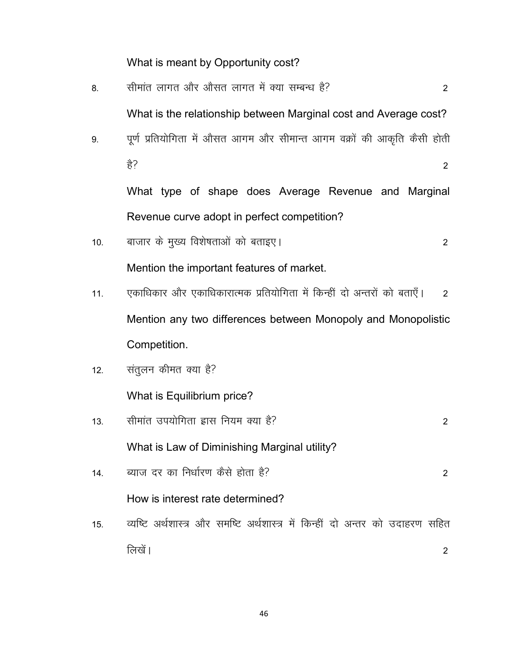What is meant by Opportunity cost?

| 8.  | सीमांत लागत और औसत लागत में क्या सम्बन्ध है?<br>2                             |  |
|-----|-------------------------------------------------------------------------------|--|
|     | What is the relationship between Marginal cost and Average cost?              |  |
| 9.  | पूर्ण प्रतियोगिता में औसत आगम और सीमान्त आगम वक्रों की आकृति कैसी होती        |  |
|     | हे?<br>$\overline{2}$                                                         |  |
|     | What type of shape does Average Revenue and Marginal                          |  |
|     | Revenue curve adopt in perfect competition?                                   |  |
| 10. | बाजार के मुख्य विशेषताओं को बताइए।<br>$\overline{2}$                          |  |
|     | Mention the important features of market.                                     |  |
| 11. | एकाधिकार और एकाधिकारात्मक प्रतियोगिता में किन्हीं दो अन्तरों को बताएँ।<br>2   |  |
|     | Mention any two differences between Monopoly and Monopolistic                 |  |
|     | Competition.                                                                  |  |
| 12. | संतुलन कीमत क्या है?                                                          |  |
|     | What is Equilibrium price?                                                    |  |
| 13. | सीमांत उपयोगिता ह्रास नियम क्या है?<br>$\overline{2}$                         |  |
|     | What is Law of Diminishing Marginal utility?                                  |  |
| 14. | ब्याज दर का निर्धारण कैसे होता है?<br>2                                       |  |
|     | How is interest rate determined?                                              |  |
| 15. | व्यष्टि अर्थशास्त्र और समष्टि अर्थशास्त्र में किन्हीं दो अन्तर को उदाहरण सहित |  |
|     | लिखें।<br>2                                                                   |  |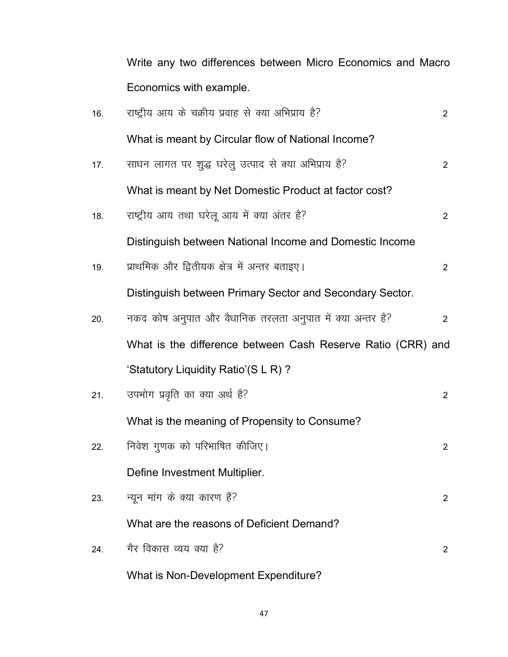Write any two differences between Micro Economics and Macro Economics with example.

| 16. | राष्ट्रीय आय के चक्रीय प्रवाह से क्या अभिप्राय है?          | 2              |
|-----|-------------------------------------------------------------|----------------|
|     | What is meant by Circular flow of National Income?          |                |
| 17. | साधन लागत पर शुद्ध घरेलु उत्पाद से क्या अभिप्राय है?        | $\overline{2}$ |
|     | What is meant by Net Domestic Product at factor cost?       |                |
| 18. | राष्ट्रीय आय तथा घरेलू आय में क्या अंतर है?                 | $\overline{2}$ |
|     | Distinguish between National Income and Domestic Income     |                |
| 19. | प्राथमिक और द्वितीयक क्षेत्र में अन्तर बताइए।               | $\overline{2}$ |
|     | Distinguish between Primary Sector and Secondary Sector.    |                |
| 20. | नकद कोष अनुपात और वैधानिक तरलता अनुपात में क्या अन्तर है?   | $\overline{2}$ |
|     | What is the difference between Cash Reserve Ratio (CRR) and |                |
|     | 'Statutory Liquidity Ratio'(S L R)?                         |                |
| 21. | उपभोग प्रवृति का क्या अर्थ है?                              | $\overline{2}$ |
|     | What is the meaning of Propensity to Consume?               |                |
| 22. | निवेश गुणक को परिभाषित कीजिए।                               | $\overline{2}$ |
|     | Define Investment Multiplier.                               |                |
| 23. | न्यून मांग के क्या कारण हैं?                                | $\mathbf{2}$   |
|     | What are the reasons of Deficient Demand?                   |                |
| 24. | गैर विकास व्यय क्या है?                                     | 2              |
|     | What is Non-Development Expenditure?                        |                |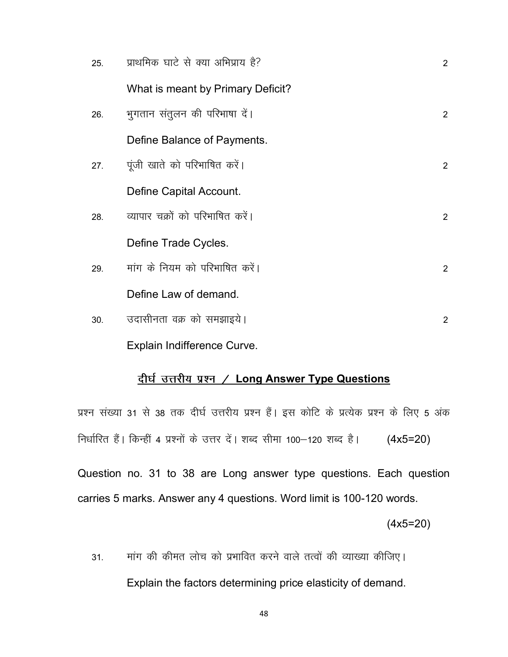| 25. | प्राथमिक घाटे से क्या अभिप्राय है? | 2              |
|-----|------------------------------------|----------------|
|     | What is meant by Primary Deficit?  |                |
| 26. | भुगतान संतुलन की परिभाषा दें।      | 2              |
|     | Define Balance of Payments.        |                |
| 27. | पूंजी खाते को परिभाषित करें।       | $\mathcal{P}$  |
|     | Define Capital Account.            |                |
| 28. | व्यापार चक्रों को परिभाषित करें।   | $\mathcal{P}$  |
|     | Define Trade Cycles.               |                |
| 29. | मांग के नियम को परिभाषित करें।     | $\mathcal{P}$  |
|     | Define Law of demand.              |                |
| 30. | उदासीनता वक्र को समझाइये।          | $\overline{2}$ |
|     |                                    |                |

Explain Indifference Curve.

## दीर्घ उत्तरीय प्रश्न / Long Answer Type Questions

प्रश्न संख्या 31 से 38 तक दीर्घ उत्तरीय प्रश्न हैं। इस कोटि के प्रत्येक प्रश्न के लिए 5 अंक निर्धारित हैं। किन्हीं 4 प्रश्नों के उत्तर दें। शब्द सीमा 100-120 शब्द है।  $(4x5=20)$ 

Question no. 31 to 38 are Long answer type questions. Each question carries 5 marks. Answer any 4 questions. Word limit is 100-120 words.

(4x5=20)

31. - मांग की कीमत लोच को प्रभावित करने वाले तत्वों की व्याख्या कीजिए। Explain the factors determining price elasticity of demand.